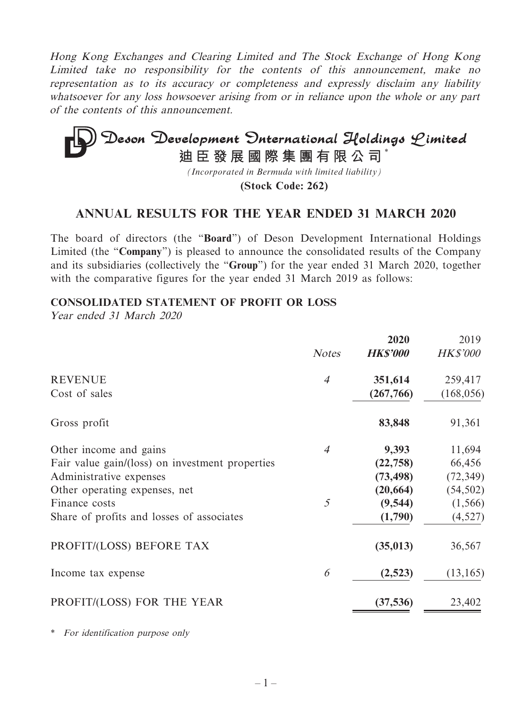Hong Kong Exchanges and Clearing Limited and The Stock Exchange of Hong Kong Limited take no responsibility for the contents of this announcement, make no representation as to its accuracy or completeness and expressly disclaim any liability whatsoever for any loss howsoever arising from or in reliance upon the whole or any part of the contents of this announcement.

# **Deson Development Onternational Holdings Limited**<br>迪臣發展國際集團有限公司<sup>\*</sup>

*(Incorporated in Bermuda with limited liability)*

**(Stock Code: 262)**

## **ANNUAL RESULTS FOR THE YEAR ENDED 31 MARCH 2020**

The board of directors (the "**Board**") of Deson Development International Holdings Limited (the "**Company**") is pleased to announce the consolidated results of the Company and its subsidiaries (collectively the "**Group**") for the year ended 31 March 2020, together with the comparative figures for the year ended 31 March 2019 as follows:

#### **CONSOLIDATED STATEMENT OF PROFIT OR LOSS**

Year ended 31 March 2020

|                                                 | <b>Notes</b>   | 2020<br><b>HK\$'000</b> | 2019<br><b>HK\$'000</b> |
|-------------------------------------------------|----------------|-------------------------|-------------------------|
| <b>REVENUE</b>                                  | $\overline{4}$ | 351,614                 | 259,417                 |
| Cost of sales                                   |                | (267,766)               | (168, 056)              |
| Gross profit                                    |                | 83,848                  | 91,361                  |
| Other income and gains                          | $\overline{4}$ | 9,393                   | 11,694                  |
| Fair value gain/(loss) on investment properties |                | (22, 758)               | 66,456                  |
| Administrative expenses                         |                | (73, 498)               | (72, 349)               |
| Other operating expenses, net                   |                | (20, 664)               | (54, 502)               |
| Finance costs                                   | 5              | (9, 544)                | (1, 566)                |
| Share of profits and losses of associates       |                | (1,790)                 | (4,527)                 |
| PROFIT/(LOSS) BEFORE TAX                        |                | (35, 013)               | 36,567                  |
| Income tax expense                              | 6              | (2,523)                 | (13, 165)               |
| PROFIT/(LOSS) FOR THE YEAR                      |                | (37, 536)               | 23,402                  |

\* For identification purpose only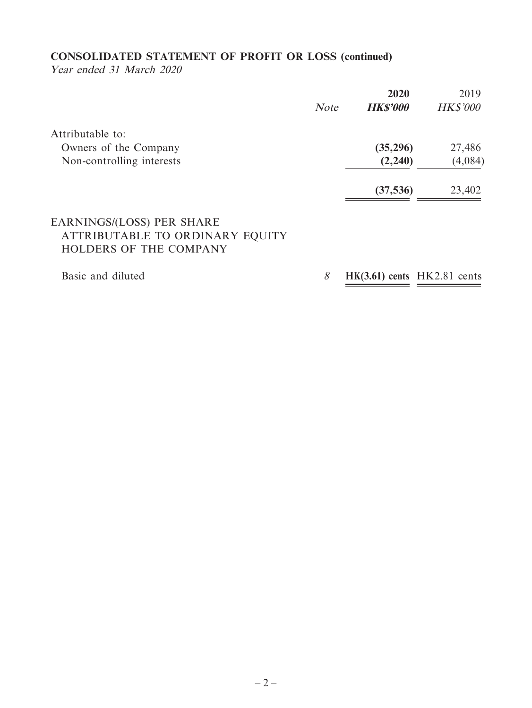## **CONSOLIDATED STATEMENT OF PROFIT OR LOSS (continued)**

Year ended 31 March 2020

|                                |             | 2020            | 2019            |
|--------------------------------|-------------|-----------------|-----------------|
|                                | <b>Note</b> | <b>HK\$'000</b> | <b>HK\$'000</b> |
| Attributable to:               |             |                 |                 |
| Owners of the Company          |             | (35,296)        | 27,486          |
| Non-controlling interests      |             | (2,240)         | (4,084)         |
|                                |             | (37, 536)       | 23,402          |
| <b>DIDITION/LOOK BED SILDE</b> |             |                 |                 |

## EARNINGS/(LOSS) PER SHARE ATTRIBUTABLE TO ORDINARY EQUITY HOLDERS OF THE COMPANY

Basic and diluted 8 **HK(3.61) cents** HK2.81 cents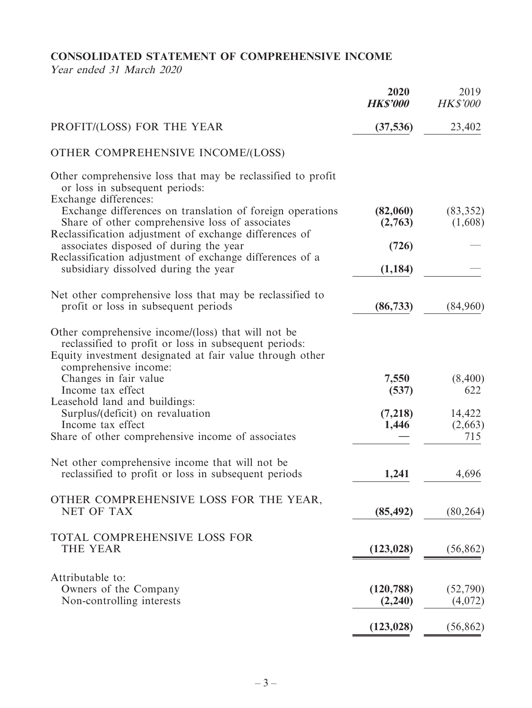## **CONSOLIDATED STATEMENT OF COMPREHENSIVE INCOME**

Year ended 31 March 2020

|                                                                                                                                                                                                  | 2020<br><b>HK\$'000</b> | 2019<br><b>HK\$'000</b> |
|--------------------------------------------------------------------------------------------------------------------------------------------------------------------------------------------------|-------------------------|-------------------------|
| PROFIT/(LOSS) FOR THE YEAR                                                                                                                                                                       | (37, 536)               | 23,402                  |
| OTHER COMPREHENSIVE INCOME/(LOSS)                                                                                                                                                                |                         |                         |
| Other comprehensive loss that may be reclassified to profit<br>or loss in subsequent periods:<br>Exchange differences:                                                                           |                         |                         |
| Exchange differences on translation of foreign operations<br>Share of other comprehensive loss of associates<br>Reclassification adjustment of exchange differences of                           | (82,060)<br>(2,763)     | (83, 352)<br>(1,608)    |
| associates disposed of during the year<br>Reclassification adjustment of exchange differences of a                                                                                               | (726)                   |                         |
| subsidiary dissolved during the year                                                                                                                                                             | (1, 184)                |                         |
| Net other comprehensive loss that may be reclassified to<br>profit or loss in subsequent periods                                                                                                 | (86, 733)               | (84,960)                |
| Other comprehensive income/(loss) that will not be<br>reclassified to profit or loss in subsequent periods:<br>Equity investment designated at fair value through other<br>comprehensive income: |                         |                         |
| Changes in fair value                                                                                                                                                                            | 7,550                   | (8,400)                 |
| Income tax effect<br>Leasehold land and buildings:                                                                                                                                               | (537)                   | 622                     |
| Surplus/(deficit) on revaluation                                                                                                                                                                 | (7,218)                 | 14,422                  |
| Income tax effect<br>Share of other comprehensive income of associates                                                                                                                           | 1,446                   | (2,663)<br>715          |
|                                                                                                                                                                                                  |                         |                         |
| Net other comprehensive income that will not be<br>reclassified to profit or loss in subsequent periods                                                                                          | 1,241                   | 4,696                   |
| OTHER COMPREHENSIVE LOSS FOR THE YEAR,                                                                                                                                                           |                         |                         |
| <b>NET OF TAX</b>                                                                                                                                                                                | (85, 492)               | (80, 264)               |
| TOTAL COMPREHENSIVE LOSS FOR<br><b>THE YEAR</b>                                                                                                                                                  | (123, 028)              | (56, 862)               |
| Attributable to:                                                                                                                                                                                 |                         |                         |
| Owners of the Company<br>Non-controlling interests                                                                                                                                               | (120, 788)<br>(2,240)   | (52,790)<br>(4,072)     |
|                                                                                                                                                                                                  | (123, 028)              | (56, 862)               |
|                                                                                                                                                                                                  |                         |                         |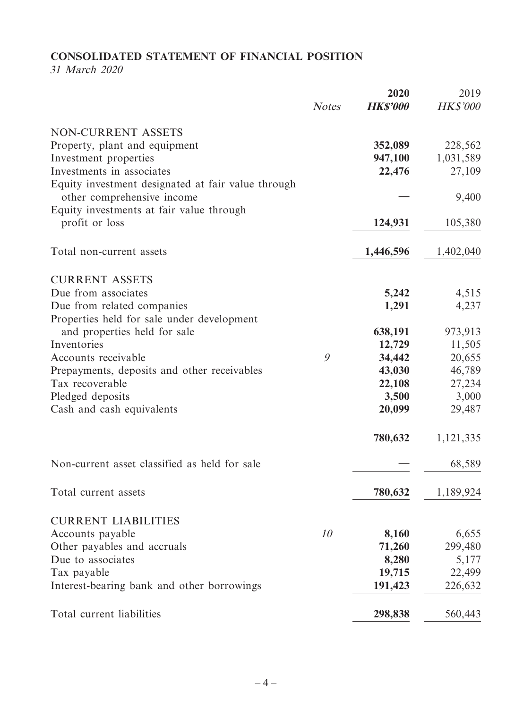## **CONSOLIDATED STATEMENT OF FINANCIAL POSITION**

31 March 2020

|                                                                                  | <b>Notes</b> | 2020<br><b>HK\$'000</b> | 2019<br><b>HK\$'000</b> |
|----------------------------------------------------------------------------------|--------------|-------------------------|-------------------------|
|                                                                                  |              |                         |                         |
| NON-CURRENT ASSETS                                                               |              |                         |                         |
| Property, plant and equipment                                                    |              | 352,089                 | 228,562                 |
| Investment properties                                                            |              | 947,100                 | 1,031,589               |
| Investments in associates                                                        |              | 22,476                  | 27,109                  |
| Equity investment designated at fair value through<br>other comprehensive income |              |                         | 9,400                   |
| Equity investments at fair value through                                         |              |                         |                         |
| profit or loss                                                                   |              | 124,931                 | 105,380                 |
|                                                                                  |              |                         |                         |
| Total non-current assets                                                         |              | 1,446,596               | 1,402,040               |
|                                                                                  |              |                         |                         |
| <b>CURRENT ASSETS</b>                                                            |              |                         |                         |
| Due from associates                                                              |              | 5,242                   | 4,515                   |
| Due from related companies                                                       |              | 1,291                   | 4,237                   |
| Properties held for sale under development                                       |              |                         |                         |
| and properties held for sale                                                     |              | 638,191                 | 973,913                 |
| Inventories                                                                      |              | 12,729                  | 11,505                  |
| Accounts receivable                                                              | 9            | 34,442                  | 20,655                  |
| Prepayments, deposits and other receivables                                      |              | 43,030                  | 46,789                  |
| Tax recoverable                                                                  |              | 22,108                  | 27,234                  |
| Pledged deposits                                                                 |              | 3,500                   | 3,000                   |
| Cash and cash equivalents                                                        |              | 20,099                  | 29,487                  |
|                                                                                  |              | 780,632                 | 1,121,335               |
| Non-current asset classified as held for sale                                    |              |                         | 68,589                  |
|                                                                                  |              |                         |                         |
| Total current assets                                                             |              | 780,632                 | 1,189,924               |
| <b>CURRENT LIABILITIES</b>                                                       |              |                         |                         |
| Accounts payable                                                                 | 10           | 8,160                   | 6,655                   |
| Other payables and accruals                                                      |              | 71,260                  | 299,480                 |
| Due to associates                                                                |              | 8,280                   | 5,177                   |
| Tax payable                                                                      |              | 19,715                  | 22,499                  |
| Interest-bearing bank and other borrowings                                       |              | 191,423                 | 226,632                 |
|                                                                                  |              |                         |                         |
| Total current liabilities                                                        |              | 298,838                 | 560,443                 |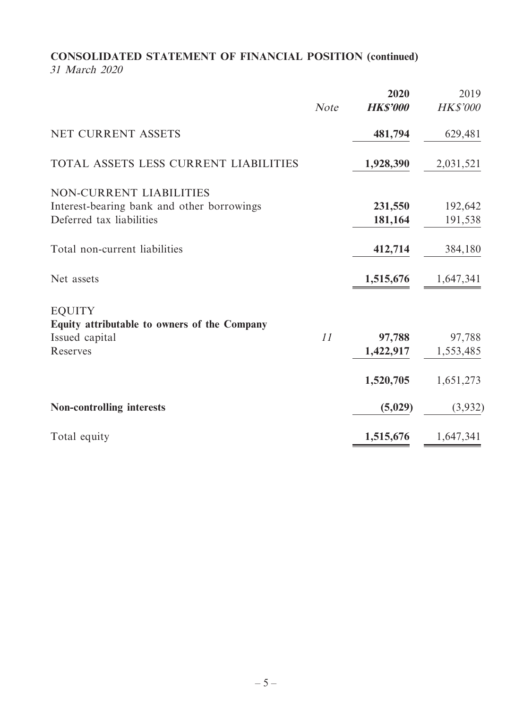## **CONSOLIDATED STATEMENT OF FINANCIAL POSITION (continued)** 31 March 2020

|                                                                                                   | <b>Note</b> | 2020<br><b>HK\$'000</b> | 2019<br><b>HK\$'000</b> |
|---------------------------------------------------------------------------------------------------|-------------|-------------------------|-------------------------|
| NET CURRENT ASSETS                                                                                |             | 481,794                 | 629,481                 |
| TOTAL ASSETS LESS CURRENT LIABILITIES                                                             |             | 1,928,390               | 2,031,521               |
| NON-CURRENT LIABILITIES<br>Interest-bearing bank and other borrowings<br>Deferred tax liabilities |             | 231,550<br>181,164      | 192,642<br>191,538      |
| Total non-current liabilities                                                                     |             | 412,714                 | 384,180                 |
| Net assets                                                                                        |             | 1,515,676               | 1,647,341               |
| <b>EQUITY</b><br>Equity attributable to owners of the Company<br>Issued capital<br>Reserves       | 11          | 97,788<br>1,422,917     | 97,788<br>1,553,485     |
|                                                                                                   |             | 1,520,705               | 1,651,273               |
| <b>Non-controlling interests</b>                                                                  |             | (5,029)                 | (3,932)                 |
| Total equity                                                                                      |             | 1,515,676               | 1,647,341               |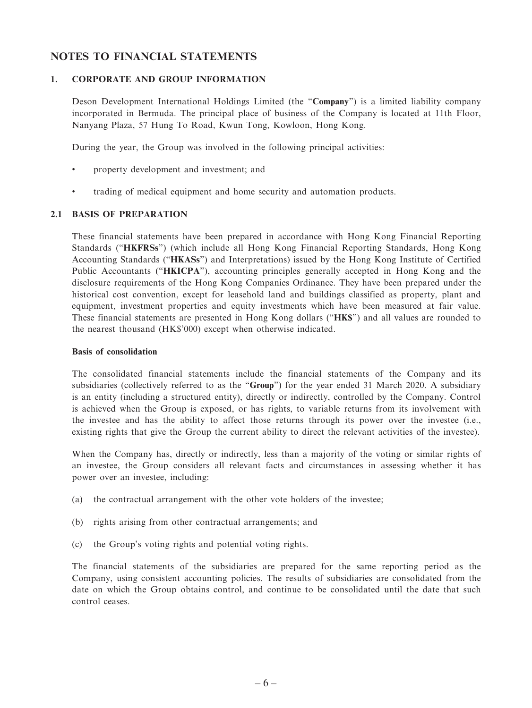#### **NOTES TO FINANCIAL STATEMENTS**

#### **1. CORPORATE AND GROUP INFORMATION**

Deson Development International Holdings Limited (the "**Company**") is a limited liability company incorporated in Bermuda. The principal place of business of the Company is located at 11th Floor, Nanyang Plaza, 57 Hung To Road, Kwun Tong, Kowloon, Hong Kong.

During the year, the Group was involved in the following principal activities:

- property development and investment; and
- trading of medical equipment and home security and automation products.

#### **2.1 BASIS OF PREPARATION**

These financial statements have been prepared in accordance with Hong Kong Financial Reporting Standards ("**HKFRSs**") (which include all Hong Kong Financial Reporting Standards, Hong Kong Accounting Standards ("**HKASs**") and Interpretations) issued by the Hong Kong Institute of Certified Public Accountants ("**HKICPA**"), accounting principles generally accepted in Hong Kong and the disclosure requirements of the Hong Kong Companies Ordinance. They have been prepared under the historical cost convention, except for leasehold land and buildings classified as property, plant and equipment, investment properties and equity investments which have been measured at fair value. These financial statements are presented in Hong Kong dollars ("**HK\$**") and all values are rounded to the nearest thousand (HK\$'000) except when otherwise indicated.

#### **Basis of consolidation**

The consolidated financial statements include the financial statements of the Company and its subsidiaries (collectively referred to as the "**Group**") for the year ended 31 March 2020. A subsidiary is an entity (including a structured entity), directly or indirectly, controlled by the Company. Control is achieved when the Group is exposed, or has rights, to variable returns from its involvement with the investee and has the ability to affect those returns through its power over the investee (i.e., existing rights that give the Group the current ability to direct the relevant activities of the investee).

When the Company has, directly or indirectly, less than a majority of the voting or similar rights of an investee, the Group considers all relevant facts and circumstances in assessing whether it has power over an investee, including:

- (a) the contractual arrangement with the other vote holders of the investee;
- (b) rights arising from other contractual arrangements; and
- (c) the Group's voting rights and potential voting rights.

The financial statements of the subsidiaries are prepared for the same reporting period as the Company, using consistent accounting policies. The results of subsidiaries are consolidated from the date on which the Group obtains control, and continue to be consolidated until the date that such control ceases.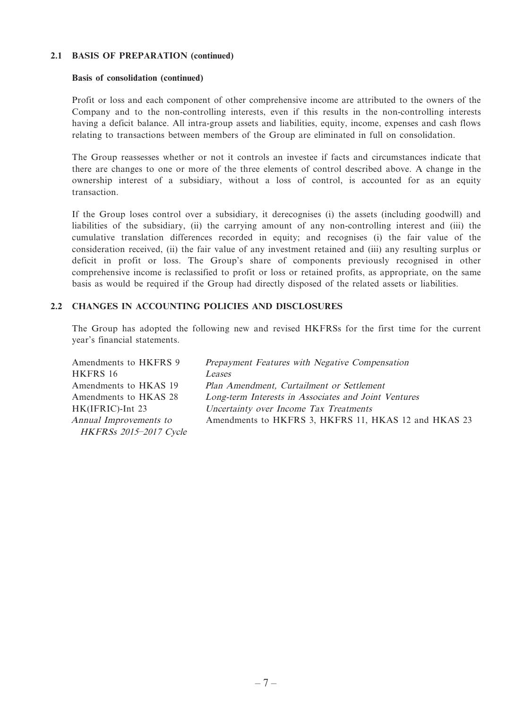#### **2.1 BASIS OF PREPARATION (continued)**

#### **Basis of consolidation (continued)**

Profit or loss and each component of other comprehensive income are attributed to the owners of the Company and to the non-controlling interests, even if this results in the non-controlling interests having a deficit balance. All intra-group assets and liabilities, equity, income, expenses and cash flows relating to transactions between members of the Group are eliminated in full on consolidation.

The Group reassesses whether or not it controls an investee if facts and circumstances indicate that there are changes to one or more of the three elements of control described above. A change in the ownership interest of a subsidiary, without a loss of control, is accounted for as an equity transaction.

If the Group loses control over a subsidiary, it derecognises (i) the assets (including goodwill) and liabilities of the subsidiary, (ii) the carrying amount of any non-controlling interest and (iii) the cumulative translation differences recorded in equity; and recognises (i) the fair value of the consideration received, (ii) the fair value of any investment retained and (iii) any resulting surplus or deficit in profit or loss. The Group's share of components previously recognised in other comprehensive income is reclassified to profit or loss or retained profits, as appropriate, on the same basis as would be required if the Group had directly disposed of the related assets or liabilities.

#### **2.2 CHANGES IN ACCOUNTING POLICIES AND DISCLOSURES**

The Group has adopted the following new and revised HKFRSs for the first time for the current year's financial statements.

Amendments to HKFRS 9 Prepayment Features with Negative Compensation HKFRS 16 Leases Amendments to HKAS 19 Plan Amendment, Curtailment or Settlement Amendments to HKAS 28 Long-term Interests in Associates and Joint Ventures HK(IFRIC)-Int 23 Uncertainty over Income Tax Treatments Annual Improvements to HKFRSs 2015–2017 Cycle Amendments to HKFRS 3, HKFRS 11, HKAS 12 and HKAS 23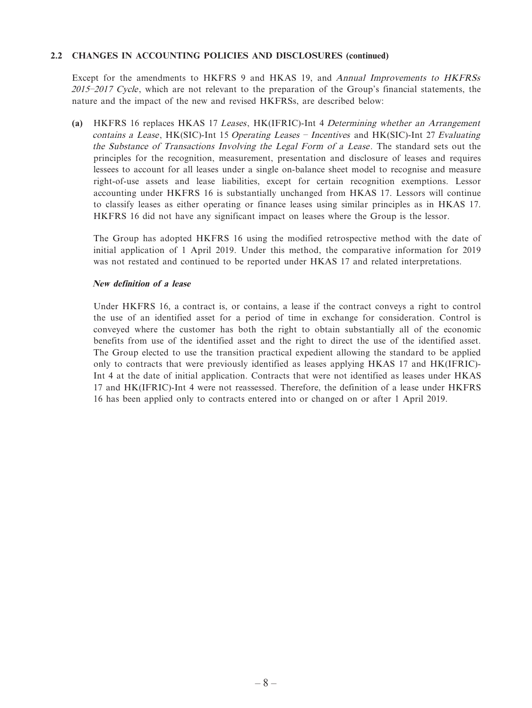#### **2.2 CHANGES IN ACCOUNTING POLICIES AND DISCLOSURES (continued)**

Except for the amendments to HKFRS 9 and HKAS 19, and Annual Improvements to HKFRSs 2015–2017 Cycle, which are not relevant to the preparation of the Group's financial statements, the nature and the impact of the new and revised HKFRSs, are described below:

 **(a)** HKFRS 16 replaces HKAS 17 Leases, HK(IFRIC)-Int 4 Determining whether an Arrangement contains a Lease, HK(SIC)-Int 15 Operating Leases – Incentives and HK(SIC)-Int 27 Evaluating the Substance of Transactions Involving the Legal Form of a Lease. The standard sets out the principles for the recognition, measurement, presentation and disclosure of leases and requires lessees to account for all leases under a single on-balance sheet model to recognise and measure right-of-use assets and lease liabilities, except for certain recognition exemptions. Lessor accounting under HKFRS 16 is substantially unchanged from HKAS 17. Lessors will continue to classify leases as either operating or finance leases using similar principles as in HKAS 17. HKFRS 16 did not have any significant impact on leases where the Group is the lessor.

The Group has adopted HKFRS 16 using the modified retrospective method with the date of initial application of 1 April 2019. Under this method, the comparative information for 2019 was not restated and continued to be reported under HKAS 17 and related interpretations.

#### **New definition of a lease**

Under HKFRS 16, a contract is, or contains, a lease if the contract conveys a right to control the use of an identified asset for a period of time in exchange for consideration. Control is conveyed where the customer has both the right to obtain substantially all of the economic benefits from use of the identified asset and the right to direct the use of the identified asset. The Group elected to use the transition practical expedient allowing the standard to be applied only to contracts that were previously identified as leases applying HKAS 17 and HK(IFRIC)- Int 4 at the date of initial application. Contracts that were not identified as leases under HKAS 17 and HK(IFRIC)-Int 4 were not reassessed. Therefore, the definition of a lease under HKFRS 16 has been applied only to contracts entered into or changed on or after 1 April 2019.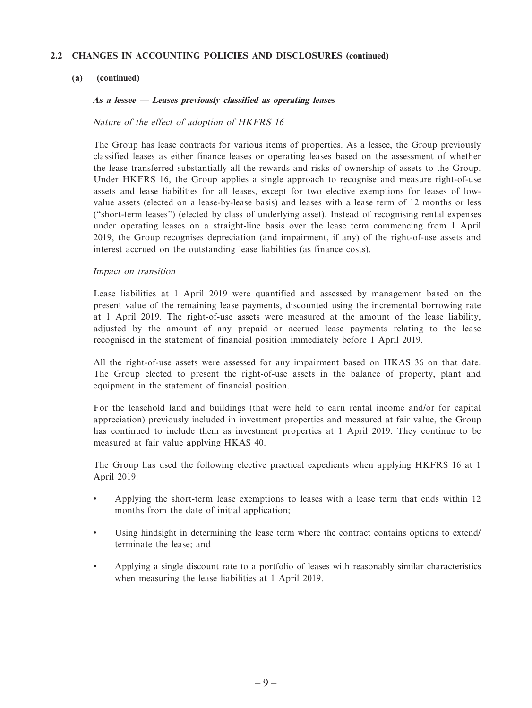#### **2.2 CHANGES IN ACCOUNTING POLICIES AND DISCLOSURES (continued)**

#### **(a) (continued)**

#### **As a lessee — Leases previously classified as operating leases**

#### Nature of the effect of adoption of HKFRS 16

The Group has lease contracts for various items of properties. As a lessee, the Group previously classified leases as either finance leases or operating leases based on the assessment of whether the lease transferred substantially all the rewards and risks of ownership of assets to the Group. Under HKFRS 16, the Group applies a single approach to recognise and measure right-of-use assets and lease liabilities for all leases, except for two elective exemptions for leases of lowvalue assets (elected on a lease-by-lease basis) and leases with a lease term of 12 months or less ("short-term leases") (elected by class of underlying asset). Instead of recognising rental expenses under operating leases on a straight-line basis over the lease term commencing from 1 April 2019, the Group recognises depreciation (and impairment, if any) of the right-of-use assets and interest accrued on the outstanding lease liabilities (as finance costs).

#### Impact on transition

Lease liabilities at 1 April 2019 were quantified and assessed by management based on the present value of the remaining lease payments, discounted using the incremental borrowing rate at 1 April 2019. The right-of-use assets were measured at the amount of the lease liability, adjusted by the amount of any prepaid or accrued lease payments relating to the lease recognised in the statement of financial position immediately before 1 April 2019.

All the right-of-use assets were assessed for any impairment based on HKAS 36 on that date. The Group elected to present the right-of-use assets in the balance of property, plant and equipment in the statement of financial position.

For the leasehold land and buildings (that were held to earn rental income and/or for capital appreciation) previously included in investment properties and measured at fair value, the Group has continued to include them as investment properties at 1 April 2019. They continue to be measured at fair value applying HKAS 40.

The Group has used the following elective practical expedients when applying HKFRS 16 at 1 April 2019:

- Applying the short-term lease exemptions to leases with a lease term that ends within 12 months from the date of initial application;
- Using hindsight in determining the lease term where the contract contains options to extend/ terminate the lease; and
- Applying a single discount rate to a portfolio of leases with reasonably similar characteristics when measuring the lease liabilities at 1 April 2019.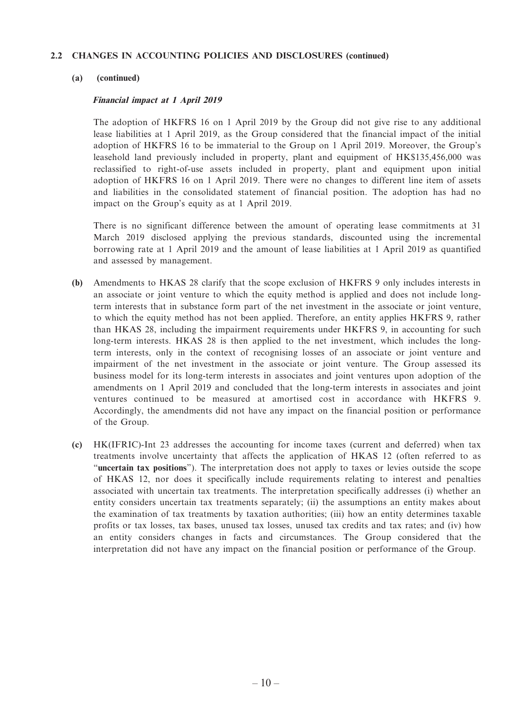#### **2.2 CHANGES IN ACCOUNTING POLICIES AND DISCLOSURES (continued)**

#### **(a) (continued)**

#### **Financial impact at 1 April 2019**

The adoption of HKFRS 16 on 1 April 2019 by the Group did not give rise to any additional lease liabilities at 1 April 2019, as the Group considered that the financial impact of the initial adoption of HKFRS 16 to be immaterial to the Group on 1 April 2019. Moreover, the Group's leasehold land previously included in property, plant and equipment of HK\$135,456,000 was reclassified to right-of-use assets included in property, plant and equipment upon initial adoption of HKFRS 16 on 1 April 2019. There were no changes to different line item of assets and liabilities in the consolidated statement of financial position. The adoption has had no impact on the Group's equity as at 1 April 2019.

There is no significant difference between the amount of operating lease commitments at 31 March 2019 disclosed applying the previous standards, discounted using the incremental borrowing rate at 1 April 2019 and the amount of lease liabilities at 1 April 2019 as quantified and assessed by management.

- **(b)** Amendments to HKAS 28 clarify that the scope exclusion of HKFRS 9 only includes interests in an associate or joint venture to which the equity method is applied and does not include longterm interests that in substance form part of the net investment in the associate or joint venture, to which the equity method has not been applied. Therefore, an entity applies HKFRS 9, rather than HKAS 28, including the impairment requirements under HKFRS 9, in accounting for such long-term interests. HKAS 28 is then applied to the net investment, which includes the longterm interests, only in the context of recognising losses of an associate or joint venture and impairment of the net investment in the associate or joint venture. The Group assessed its business model for its long-term interests in associates and joint ventures upon adoption of the amendments on 1 April 2019 and concluded that the long-term interests in associates and joint ventures continued to be measured at amortised cost in accordance with HKFRS 9. Accordingly, the amendments did not have any impact on the financial position or performance of the Group.
- **(c)** HK(IFRIC)-Int 23 addresses the accounting for income taxes (current and deferred) when tax treatments involve uncertainty that affects the application of HKAS 12 (often referred to as "**uncertain tax positions**"). The interpretation does not apply to taxes or levies outside the scope of HKAS 12, nor does it specifically include requirements relating to interest and penalties associated with uncertain tax treatments. The interpretation specifically addresses (i) whether an entity considers uncertain tax treatments separately; (ii) the assumptions an entity makes about the examination of tax treatments by taxation authorities; (iii) how an entity determines taxable profits or tax losses, tax bases, unused tax losses, unused tax credits and tax rates; and (iv) how an entity considers changes in facts and circumstances. The Group considered that the interpretation did not have any impact on the financial position or performance of the Group.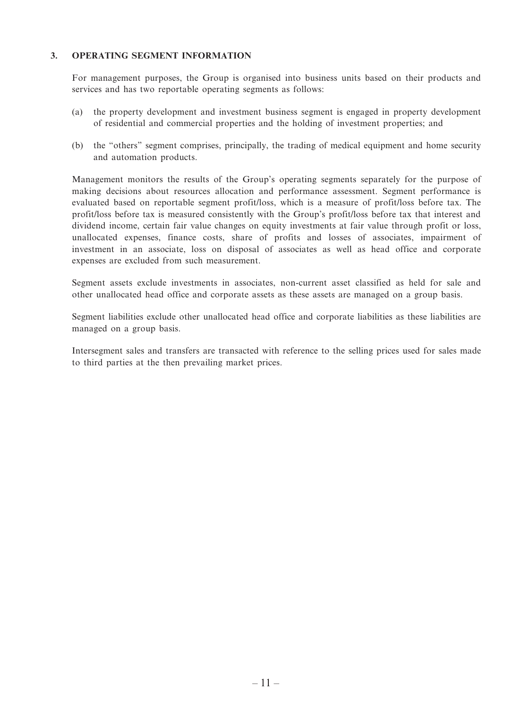#### **3. OPERATING SEGMENT INFORMATION**

For management purposes, the Group is organised into business units based on their products and services and has two reportable operating segments as follows:

- (a) the property development and investment business segment is engaged in property development of residential and commercial properties and the holding of investment properties; and
- (b) the "others" segment comprises, principally, the trading of medical equipment and home security and automation products.

Management monitors the results of the Group's operating segments separately for the purpose of making decisions about resources allocation and performance assessment. Segment performance is evaluated based on reportable segment profit/loss, which is a measure of profit/loss before tax. The profit/loss before tax is measured consistently with the Group's profit/loss before tax that interest and dividend income, certain fair value changes on equity investments at fair value through profit or loss, unallocated expenses, finance costs, share of profits and losses of associates, impairment of investment in an associate, loss on disposal of associates as well as head office and corporate expenses are excluded from such measurement.

Segment assets exclude investments in associates, non-current asset classified as held for sale and other unallocated head office and corporate assets as these assets are managed on a group basis.

Segment liabilities exclude other unallocated head office and corporate liabilities as these liabilities are managed on a group basis.

Intersegment sales and transfers are transacted with reference to the selling prices used for sales made to third parties at the then prevailing market prices.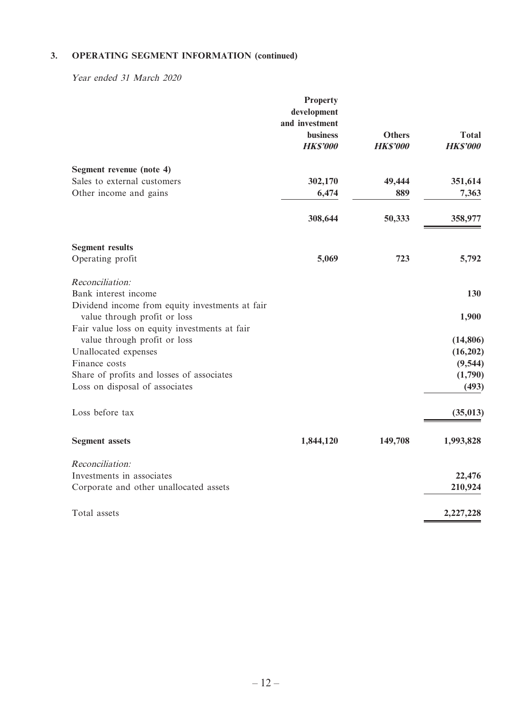Year ended 31 March 2020

|                                                                                                                                  | <b>Property</b><br>development<br>and investment<br><b>business</b><br><b>HK\$'000</b> | <b>Others</b><br><b>HKS'000</b> | <b>Total</b><br><b>HKS'000</b> |
|----------------------------------------------------------------------------------------------------------------------------------|----------------------------------------------------------------------------------------|---------------------------------|--------------------------------|
| Segment revenue (note 4)                                                                                                         |                                                                                        |                                 |                                |
| Sales to external customers                                                                                                      | 302,170                                                                                | 49,444                          | 351,614                        |
| Other income and gains                                                                                                           | 6,474                                                                                  | 889                             | 7,363                          |
|                                                                                                                                  | 308,644                                                                                | 50,333                          | 358,977                        |
| <b>Segment results</b>                                                                                                           |                                                                                        |                                 |                                |
| Operating profit                                                                                                                 | 5,069                                                                                  | 723                             | 5,792                          |
| Reconciliation:                                                                                                                  |                                                                                        |                                 |                                |
| Bank interest income                                                                                                             |                                                                                        |                                 | 130                            |
| Dividend income from equity investments at fair<br>value through profit or loss<br>Fair value loss on equity investments at fair |                                                                                        |                                 | 1,900                          |
| value through profit or loss                                                                                                     |                                                                                        |                                 | (14, 806)                      |
| Unallocated expenses                                                                                                             |                                                                                        |                                 | (16,202)                       |
| Finance costs                                                                                                                    |                                                                                        |                                 | (9, 544)                       |
| Share of profits and losses of associates                                                                                        |                                                                                        |                                 | (1,790)                        |
| Loss on disposal of associates                                                                                                   |                                                                                        |                                 | (493)                          |
| Loss before tax                                                                                                                  |                                                                                        |                                 | (35, 013)                      |
| <b>Segment</b> assets                                                                                                            | 1,844,120                                                                              | 149,708                         | 1,993,828                      |
| Reconciliation:                                                                                                                  |                                                                                        |                                 |                                |
| Investments in associates                                                                                                        |                                                                                        |                                 | 22,476                         |
| Corporate and other unallocated assets                                                                                           |                                                                                        |                                 | 210,924                        |
| Total assets                                                                                                                     |                                                                                        |                                 | 2,227,228                      |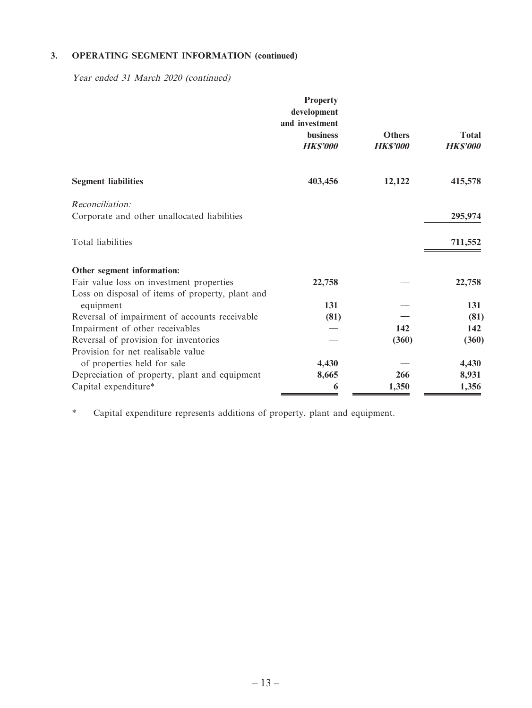Year ended 31 March 2020 (continued)

|                                                  | <b>Property</b><br>development<br>and investment |                                 |                                 |
|--------------------------------------------------|--------------------------------------------------|---------------------------------|---------------------------------|
|                                                  | <b>business</b><br><b>HK\$'000</b>               | <b>Others</b><br><b>HKS'000</b> | <b>Total</b><br><b>HK\$'000</b> |
| <b>Segment liabilities</b>                       | 403,456                                          | 12,122                          | 415,578                         |
| Reconciliation:                                  |                                                  |                                 |                                 |
| Corporate and other unallocated liabilities      |                                                  |                                 | 295,974                         |
| Total liabilities                                |                                                  |                                 | 711,552                         |
| Other segment information:                       |                                                  |                                 |                                 |
| Fair value loss on investment properties         | 22,758                                           |                                 | 22,758                          |
| Loss on disposal of items of property, plant and |                                                  |                                 |                                 |
| equipment                                        | 131                                              |                                 | 131                             |
| Reversal of impairment of accounts receivable    | (81)                                             |                                 | (81)                            |
| Impairment of other receivables                  |                                                  | 142                             | 142                             |
| Reversal of provision for inventories            |                                                  | (360)                           | (360)                           |
| Provision for net realisable value               |                                                  |                                 |                                 |
| of properties held for sale                      | 4,430                                            |                                 | 4,430                           |
| Depreciation of property, plant and equipment    | 8,665                                            | 266                             | 8,931                           |
| Capital expenditure*                             | 6                                                | 1,350                           | 1,356                           |

\* Capital expenditure represents additions of property, plant and equipment.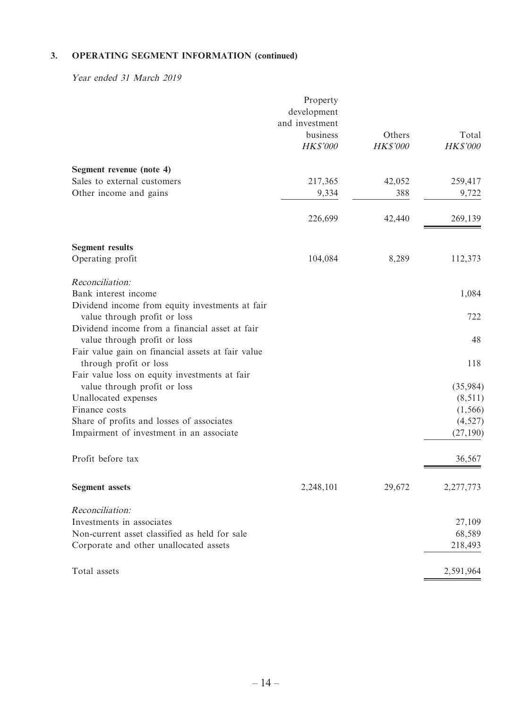Year ended 31 March 2019

|                                                                                       | Property<br>development<br>and investment<br>business<br>HK\$'000 | Others<br>HK\$'000 | Total<br>HK\$'000    |
|---------------------------------------------------------------------------------------|-------------------------------------------------------------------|--------------------|----------------------|
| Segment revenue (note 4)                                                              |                                                                   |                    |                      |
| Sales to external customers<br>Other income and gains                                 | 217,365                                                           | 42,052<br>388      | 259,417              |
|                                                                                       | 9,334                                                             |                    | 9,722                |
|                                                                                       | 226,699                                                           | 42,440             | 269,139              |
| <b>Segment results</b>                                                                |                                                                   |                    |                      |
| Operating profit                                                                      | 104,084                                                           | 8,289              | 112,373              |
| Reconciliation:                                                                       |                                                                   |                    |                      |
| Bank interest income                                                                  |                                                                   |                    | 1,084                |
| Dividend income from equity investments at fair<br>value through profit or loss       |                                                                   |                    | 722                  |
| Dividend income from a financial asset at fair                                        |                                                                   |                    |                      |
| value through profit or loss                                                          |                                                                   |                    | 48                   |
| Fair value gain on financial assets at fair value<br>through profit or loss           |                                                                   |                    | 118                  |
| Fair value loss on equity investments at fair                                         |                                                                   |                    |                      |
| value through profit or loss                                                          |                                                                   |                    | (35,984)             |
| Unallocated expenses                                                                  |                                                                   |                    | (8,511)              |
| Finance costs                                                                         |                                                                   |                    | (1, 566)             |
| Share of profits and losses of associates<br>Impairment of investment in an associate |                                                                   |                    | (4,527)<br>(27, 190) |
|                                                                                       |                                                                   |                    |                      |
| Profit before tax                                                                     |                                                                   |                    | 36,567               |
| <b>Segment</b> assets                                                                 | 2,248,101                                                         | 29,672             | 2,277,773            |
| Reconciliation:                                                                       |                                                                   |                    |                      |
| Investments in associates                                                             |                                                                   |                    | 27,109               |
| Non-current asset classified as held for sale                                         |                                                                   |                    | 68,589               |
| Corporate and other unallocated assets                                                |                                                                   |                    | 218,493              |
| Total assets                                                                          |                                                                   |                    | 2,591,964            |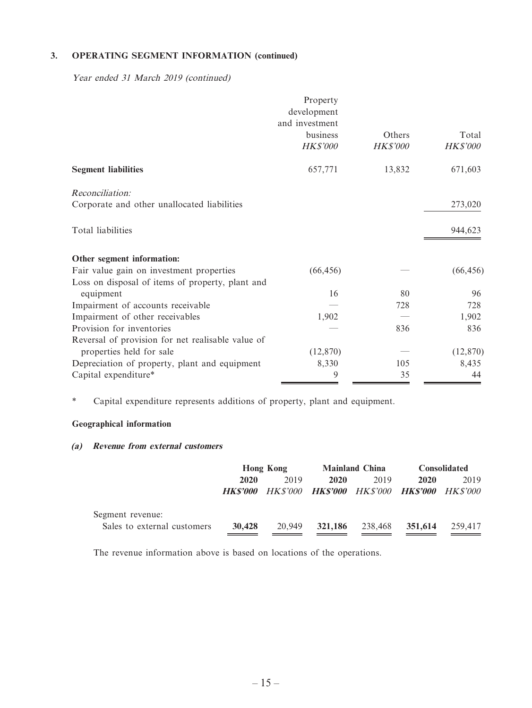Year ended 31 March 2019 (continued)

|                                                   | Property        |                 |                 |
|---------------------------------------------------|-----------------|-----------------|-----------------|
|                                                   | development     |                 |                 |
|                                                   | and investment  |                 |                 |
|                                                   | business        | Others          | Total           |
|                                                   | <b>HK\$'000</b> | <b>HK\$'000</b> | <b>HK\$'000</b> |
| <b>Segment liabilities</b>                        | 657,771         | 13,832          | 671,603         |
| Reconciliation:                                   |                 |                 |                 |
| Corporate and other unallocated liabilities       |                 |                 | 273,020         |
| Total liabilities                                 |                 |                 | 944,623         |
|                                                   |                 |                 |                 |
| Other segment information:                        |                 |                 |                 |
| Fair value gain on investment properties          | (66, 456)       |                 | (66, 456)       |
| Loss on disposal of items of property, plant and  |                 |                 |                 |
| equipment                                         | 16              | 80              | 96              |
| Impairment of accounts receivable                 |                 | 728             | 728             |
| Impairment of other receivables                   | 1,902           |                 | 1,902           |
| Provision for inventories                         |                 | 836             | 836             |
| Reversal of provision for net realisable value of |                 |                 |                 |
| properties held for sale                          | (12, 870)       |                 | (12, 870)       |
| Depreciation of property, plant and equipment     | 8,330           | 105             | 8,435           |
| Capital expenditure*                              | 9               | 35              | 44              |

\* Capital expenditure represents additions of property, plant and equipment.

#### **Geographical information**

#### **(a) Revenue from external customers**

|                             |                       | <b>Hong Kong</b> |                                              | <b>Mainland China</b> |         | <b>Consolidated</b> |
|-----------------------------|-----------------------|------------------|----------------------------------------------|-----------------------|---------|---------------------|
|                             | 2020                  | 2019             | 2020                                         | 2019                  | 2020    | 2019                |
|                             | <i><b>HKS'000</b></i> |                  | HK\$'000 HK\$'000 HK\$'000 HK\$'000 HK\$'000 |                       |         |                     |
| Segment revenue:            |                       |                  |                                              |                       |         |                     |
| Sales to external customers | 30,428                | 20,949           | 321,186                                      | 238,468               | 351,614 | 259,417             |
|                             |                       |                  |                                              |                       |         |                     |

The revenue information above is based on locations of the operations.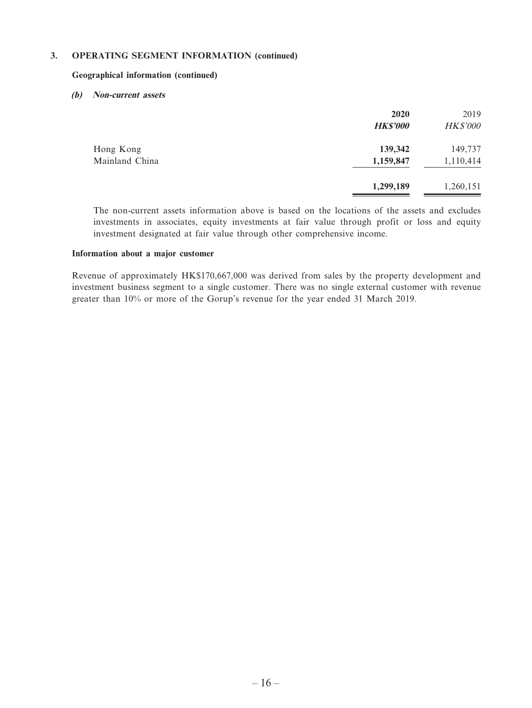#### **Geographical information (continued)**

#### **(b) Non-current assets**

|                             | 2020<br><b>HK\$'000</b> | 2019<br><b>HK\$'000</b> |
|-----------------------------|-------------------------|-------------------------|
| Hong Kong<br>Mainland China | 139,342<br>1,159,847    | 149,737<br>1,110,414    |
|                             | 1,299,189               | 1,260,151               |

The non-current assets information above is based on the locations of the assets and excludes investments in associates, equity investments at fair value through profit or loss and equity investment designated at fair value through other comprehensive income.

#### **Information about a major customer**

Revenue of approximately HK\$170,667,000 was derived from sales by the property development and investment business segment to a single customer. There was no single external customer with revenue greater than 10% or more of the Gorup's revenue for the year ended 31 March 2019.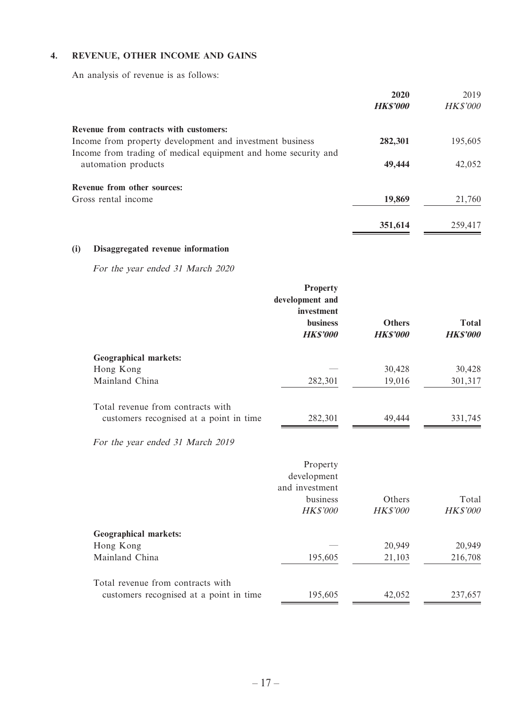#### **4. REVENUE, OTHER INCOME AND GAINS**

An analysis of revenue is as follows:

|                                                                | 2020           | 2019            |
|----------------------------------------------------------------|----------------|-----------------|
|                                                                | <b>HKS'000</b> | <b>HK\$'000</b> |
| Revenue from contracts with customers:                         |                |                 |
| Income from property development and investment business       | 282,301        | 195,605         |
| Income from trading of medical equipment and home security and |                |                 |
| automation products                                            | 49,444         | 42,052          |
| Revenue from other sources:                                    |                |                 |
| Gross rental income                                            | 19,869         | 21,760          |
|                                                                | 351,614        | 259,417         |

#### **(i) Disaggregated revenue information**

For the year ended 31 March 2020

|                                                                              | <b>Property</b><br>development and<br>investment<br><b>business</b><br><b>HKS'000</b> | <b>Others</b><br><b>HKS'000</b> | <b>Total</b><br><b>HK\$'000</b> |
|------------------------------------------------------------------------------|---------------------------------------------------------------------------------------|---------------------------------|---------------------------------|
| <b>Geographical markets:</b>                                                 |                                                                                       |                                 |                                 |
| Hong Kong                                                                    |                                                                                       | 30,428                          | 30,428                          |
| Mainland China                                                               | 282,301                                                                               | 19,016                          | 301,317                         |
| Total revenue from contracts with<br>customers recognised at a point in time | 282,301                                                                               | 49,444                          | 331,745                         |
| For the year ended 31 March 2019                                             |                                                                                       |                                 |                                 |
|                                                                              | Property<br>development<br>and investment<br>business                                 | Others                          | Total                           |
|                                                                              | <b>HK\$'000</b>                                                                       | <b>HK\$'000</b>                 | <b>HK\$'000</b>                 |
| <b>Geographical markets:</b>                                                 |                                                                                       |                                 |                                 |
| Hong Kong                                                                    |                                                                                       | 20,949                          | 20,949                          |
| Mainland China                                                               | 195,605                                                                               | 21,103                          | 216,708                         |
| Total revenue from contracts with                                            |                                                                                       |                                 |                                 |
| customers recognised at a point in time                                      | 195,605                                                                               | 42,052                          | 237,657                         |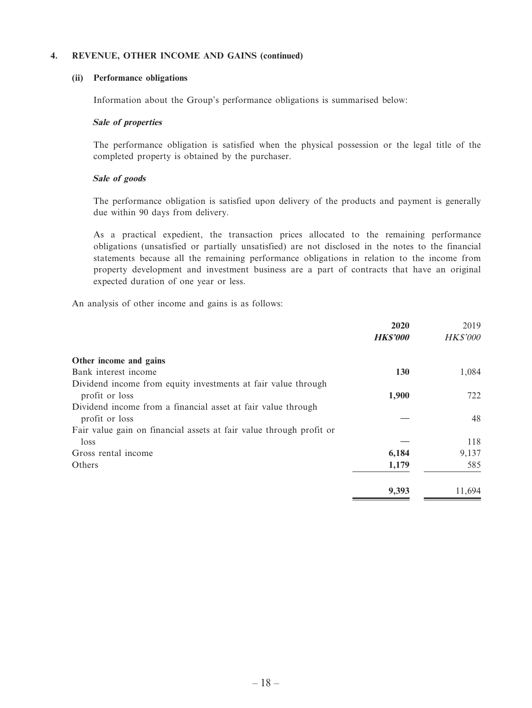#### **4. REVENUE, OTHER INCOME AND GAINS (continued)**

#### **(ii) Performance obligations**

Information about the Group's performance obligations is summarised below:

#### **Sale of properties**

The performance obligation is satisfied when the physical possession or the legal title of the completed property is obtained by the purchaser.

#### **Sale of goods**

The performance obligation is satisfied upon delivery of the products and payment is generally due within 90 days from delivery.

As a practical expedient, the transaction prices allocated to the remaining performance obligations (unsatisfied or partially unsatisfied) are not disclosed in the notes to the financial statements because all the remaining performance obligations in relation to the income from property development and investment business are a part of contracts that have an original expected duration of one year or less.

An analysis of other income and gains is as follows:

|                                                                     | 2020            | 2019            |
|---------------------------------------------------------------------|-----------------|-----------------|
|                                                                     | <b>HK\$'000</b> | <b>HK\$'000</b> |
| Other income and gains                                              |                 |                 |
| Bank interest income                                                | <b>130</b>      | 1,084           |
| Dividend income from equity investments at fair value through       |                 |                 |
| profit or loss                                                      | 1,900           | 722             |
| Dividend income from a financial asset at fair value through        |                 |                 |
| profit or loss                                                      |                 | 48              |
| Fair value gain on financial assets at fair value through profit or |                 |                 |
| loss                                                                |                 | 118             |
| Gross rental income                                                 | 6,184           | 9,137           |
| Others                                                              | 1,179           | 585             |
|                                                                     | 9,393           | 11.694          |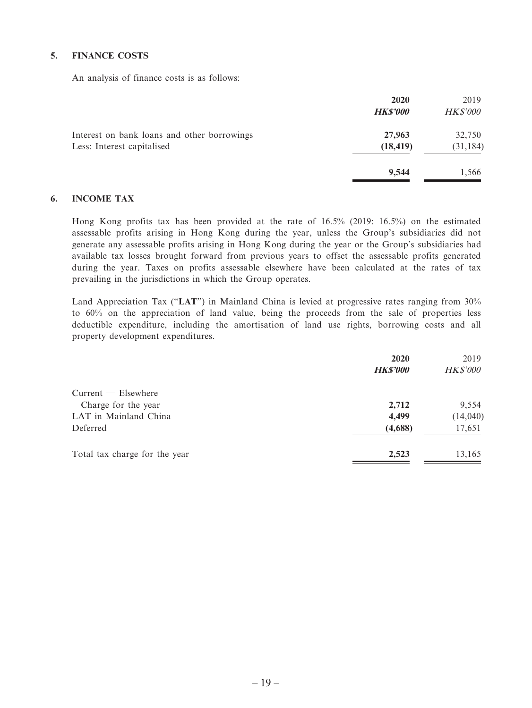#### **5. FINANCE COSTS**

An analysis of finance costs is as follows:

|                                                                           | 2020<br><b>HK\$'000</b> | 2019<br><b>HK\$'000</b> |
|---------------------------------------------------------------------------|-------------------------|-------------------------|
| Interest on bank loans and other borrowings<br>Less: Interest capitalised | 27,963<br>(18, 419)     | 32,750<br>(31, 184)     |
|                                                                           | 9,544                   | 1,566                   |

#### **6. INCOME TAX**

Hong Kong profits tax has been provided at the rate of 16.5% (2019: 16.5%) on the estimated assessable profits arising in Hong Kong during the year, unless the Group's subsidiaries did not generate any assessable profits arising in Hong Kong during the year or the Group's subsidiaries had available tax losses brought forward from previous years to offset the assessable profits generated during the year. Taxes on profits assessable elsewhere have been calculated at the rates of tax prevailing in the jurisdictions in which the Group operates.

Land Appreciation Tax ("**LAT**") in Mainland China is levied at progressive rates ranging from 30% to 60% on the appreciation of land value, being the proceeds from the sale of properties less deductible expenditure, including the amortisation of land use rights, borrowing costs and all property development expenditures.

|                               | 2020            | 2019            |
|-------------------------------|-----------------|-----------------|
|                               | <b>HK\$'000</b> | <b>HK\$'000</b> |
| $Current$ $-$ Elsewhere       |                 |                 |
| Charge for the year           | 2,712           | 9,554           |
| LAT in Mainland China         | 4,499           | (14,040)        |
| Deferred                      | (4,688)         | 17,651          |
| Total tax charge for the year | 2,523           | 13,165          |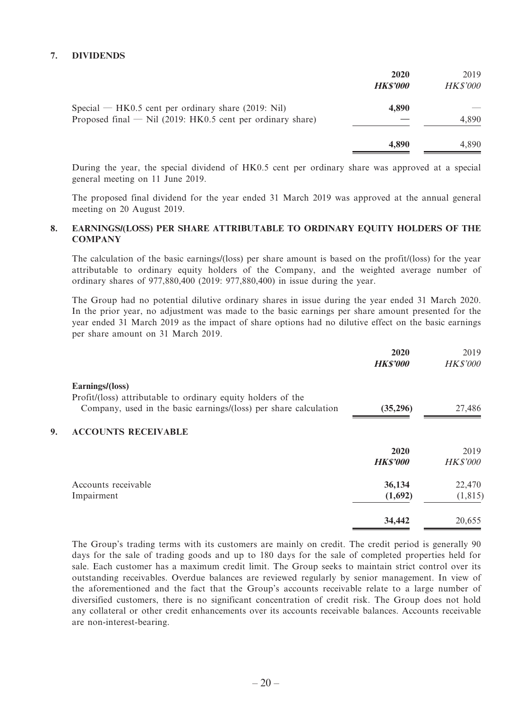#### **7. DIVIDENDS**

|                                                                                                                       | 2020<br><b>HKS'000</b> | 2019<br><b>HK\$'000</b> |
|-----------------------------------------------------------------------------------------------------------------------|------------------------|-------------------------|
| Special — HK0.5 cent per ordinary share $(2019: Nil)$<br>Proposed final $-$ Nil (2019: HK0.5 cent per ordinary share) | 4,890                  | 4,890                   |
|                                                                                                                       | 4,890                  | 4.890                   |

During the year, the special dividend of HK0.5 cent per ordinary share was approved at a special general meeting on 11 June 2019.

The proposed final dividend for the year ended 31 March 2019 was approved at the annual general meeting on 20 August 2019.

#### **8. EARNINGS/(LOSS) PER SHARE ATTRIBUTABLE TO ORDINARY EQUITY HOLDERS OF THE COMPANY**

The calculation of the basic earnings/(loss) per share amount is based on the profit/(loss) for the year attributable to ordinary equity holders of the Company, and the weighted average number of ordinary shares of 977,880,400 (2019: 977,880,400) in issue during the year.

The Group had no potential dilutive ordinary shares in issue during the year ended 31 March 2020. In the prior year, no adjustment was made to the basic earnings per share amount presented for the year ended 31 March 2019 as the impact of share options had no dilutive effect on the basic earnings per share amount on 31 March 2019.

|                                                                  | 2020<br><b>HK\$'000</b> | 2019<br><b>HK\$'000</b> |
|------------------------------------------------------------------|-------------------------|-------------------------|
|                                                                  |                         |                         |
| Profit/(loss) attributable to ordinary equity holders of the     |                         |                         |
| Company, used in the basic earnings/(loss) per share calculation | (35,296)                | 27,486                  |
| <b>ACCOUNTS RECEIVABLE</b>                                       |                         |                         |
|                                                                  | 2020                    | 2019                    |
|                                                                  | <b>HKS'000</b>          | <b>HK\$'000</b>         |
| Accounts receivable                                              |                         | 22,470                  |
| Impairment                                                       | (1,692)                 | (1, 815)                |
|                                                                  |                         | 20,655                  |
|                                                                  | Earnings/(loss)         | 36,134<br>34,442        |

The Group's trading terms with its customers are mainly on credit. The credit period is generally 90 days for the sale of trading goods and up to 180 days for the sale of completed properties held for sale. Each customer has a maximum credit limit. The Group seeks to maintain strict control over its outstanding receivables. Overdue balances are reviewed regularly by senior management. In view of the aforementioned and the fact that the Group's accounts receivable relate to a large number of diversified customers, there is no significant concentration of credit risk. The Group does not hold any collateral or other credit enhancements over its accounts receivable balances. Accounts receivable are non-interest-bearing.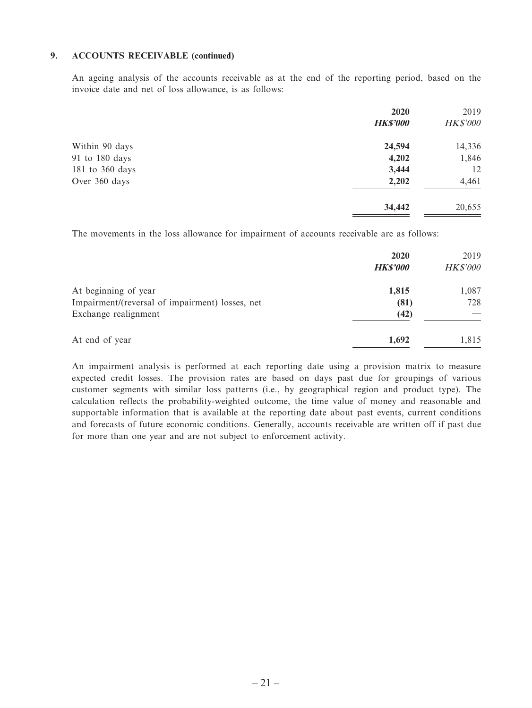#### **9. ACCOUNTS RECEIVABLE (continued)**

An ageing analysis of the accounts receivable as at the end of the reporting period, based on the invoice date and net of loss allowance, is as follows:

|                 | 2020            | 2019            |
|-----------------|-----------------|-----------------|
|                 | <b>HK\$'000</b> | <b>HK\$'000</b> |
| Within 90 days  | 24,594          | 14,336          |
| 91 to 180 days  | 4,202           | 1,846           |
| 181 to 360 days | 3,444           | 12              |
| Over 360 days   | 2,202           | 4,461           |
|                 | 34,442          | 20,655          |

The movements in the loss allowance for impairment of accounts receivable are as follows:

|                                                 | 2020<br><b>HK\$'000</b> | 2019<br><b>HK\$'000</b> |
|-------------------------------------------------|-------------------------|-------------------------|
| At beginning of year                            | 1,815                   | 1,087                   |
| Impairment/(reversal of impairment) losses, net | (81)                    | 728                     |
| Exchange realignment                            | (42)                    |                         |
| At end of year                                  | 1.692                   | 1,815                   |

An impairment analysis is performed at each reporting date using a provision matrix to measure expected credit losses. The provision rates are based on days past due for groupings of various customer segments with similar loss patterns (i.e., by geographical region and product type). The calculation reflects the probability-weighted outcome, the time value of money and reasonable and supportable information that is available at the reporting date about past events, current conditions and forecasts of future economic conditions. Generally, accounts receivable are written off if past due for more than one year and are not subject to enforcement activity.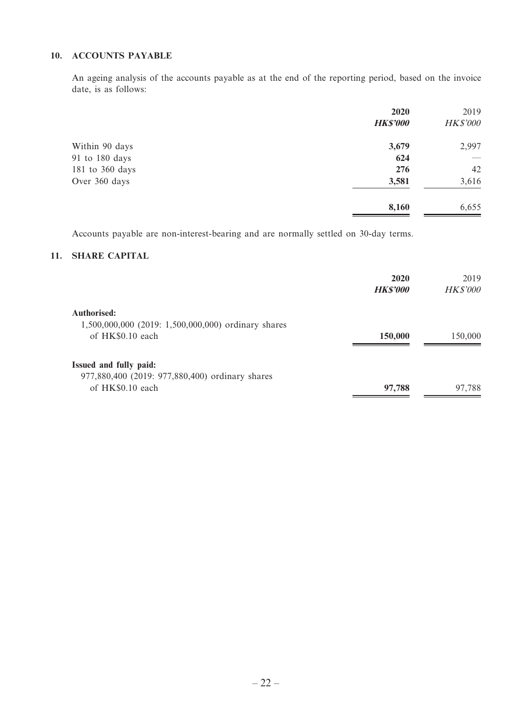#### **10. ACCOUNTS PAYABLE**

An ageing analysis of the accounts payable as at the end of the reporting period, based on the invoice date, is as follows:

|                 | 2020            | 2019            |
|-----------------|-----------------|-----------------|
|                 | <b>HK\$'000</b> | <b>HK\$'000</b> |
| Within 90 days  | 3,679           | 2,997           |
| 91 to 180 days  | 624             |                 |
| 181 to 360 days | 276             | 42              |
| Over 360 days   | 3,581           | 3,616           |
|                 | 8,160           | 6,655           |

Accounts payable are non-interest-bearing and are normally settled on 30-day terms.

#### **11. SHARE CAPITAL**

|                                                     | 2020<br><b>HK\$'000</b> | 2019<br><b>HK\$'000</b> |
|-----------------------------------------------------|-------------------------|-------------------------|
| Authorised:                                         |                         |                         |
| 1,500,000,000 (2019: 1,500,000,000) ordinary shares |                         |                         |
| of HK\$0.10 each                                    | 150,000                 | 150,000                 |
| Issued and fully paid:                              |                         |                         |
| 977,880,400 (2019: 977,880,400) ordinary shares     |                         |                         |
| of HK\$0.10 each                                    | 97,788                  | 97,788                  |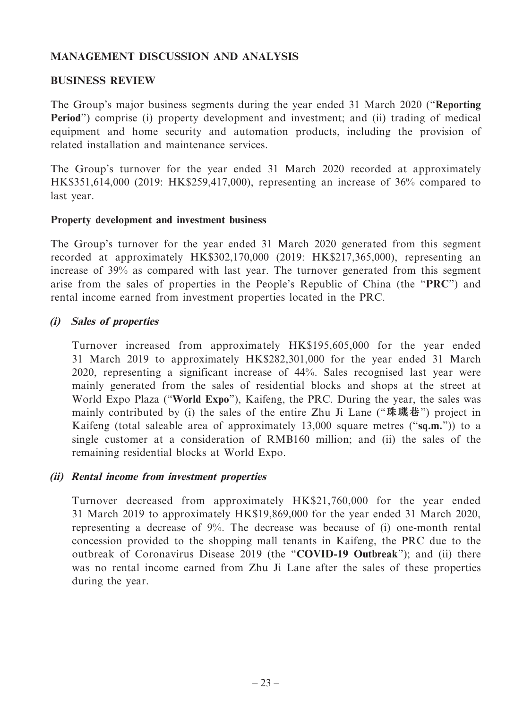## **MANAGEMENT DISCUSSION AND ANALYSIS**

#### **BUSINESS REVIEW**

The Group's major business segments during the year ended 31 March 2020 ("**Reporting Period**") comprise (i) property development and investment; and (ii) trading of medical equipment and home security and automation products, including the provision of related installation and maintenance services.

The Group's turnover for the year ended 31 March 2020 recorded at approximately HK\$351,614,000 (2019: HK\$259,417,000), representing an increase of 36% compared to last year.

#### **Property development and investment business**

The Group's turnover for the year ended 31 March 2020 generated from this segment recorded at approximately HK\$302,170,000 (2019: HK\$217,365,000), representing an increase of 39% as compared with last year. The turnover generated from this segment arise from the sales of properties in the People's Republic of China (the "**PRC**") and rental income earned from investment properties located in the PRC.

## **(i) Sales of properties**

Turnover increased from approximately HK\$195,605,000 for the year ended 31 March 2019 to approximately HK\$282,301,000 for the year ended 31 March 2020, representing a significant increase of 44%. Sales recognised last year were mainly generated from the sales of residential blocks and shops at the street at World Expo Plaza ("**World Expo**"), Kaifeng, the PRC. During the year, the sales was mainly contributed by (i) the sales of the entire Zhu Ji Lane ("**珠璣巷**") project in Kaifeng (total saleable area of approximately 13,000 square metres ("**sq.m.**")) to a single customer at a consideration of RMB160 million; and (ii) the sales of the remaining residential blocks at World Expo.

## **(ii) Rental income from investment properties**

Turnover decreased from approximately HK\$21,760,000 for the year ended 31 March 2019 to approximately HK\$19,869,000 for the year ended 31 March 2020, representing a decrease of 9%. The decrease was because of (i) one-month rental concession provided to the shopping mall tenants in Kaifeng, the PRC due to the outbreak of Coronavirus Disease 2019 (the "**COVID-19 Outbreak**"); and (ii) there was no rental income earned from Zhu Ji Lane after the sales of these properties during the year.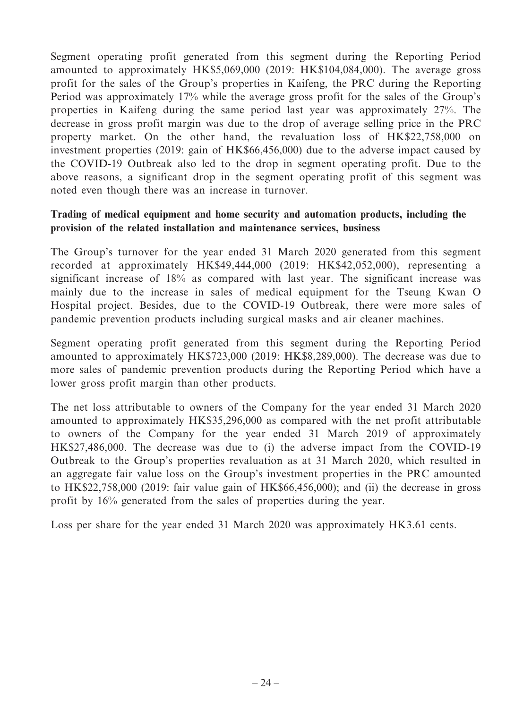Segment operating profit generated from this segment during the Reporting Period amounted to approximately HK\$5,069,000 (2019: HK\$104,084,000). The average gross profit for the sales of the Group's properties in Kaifeng, the PRC during the Reporting Period was approximately 17% while the average gross profit for the sales of the Group's properties in Kaifeng during the same period last year was approximately 27%. The decrease in gross profit margin was due to the drop of average selling price in the PRC property market. On the other hand, the revaluation loss of HK\$22,758,000 on investment properties (2019: gain of HK\$66,456,000) due to the adverse impact caused by the COVID-19 Outbreak also led to the drop in segment operating profit. Due to the above reasons, a significant drop in the segment operating profit of this segment was noted even though there was an increase in turnover.

## **Trading of medical equipment and home security and automation products, including the provision of the related installation and maintenance services, business**

The Group's turnover for the year ended 31 March 2020 generated from this segment recorded at approximately HK\$49,444,000 (2019: HK\$42,052,000), representing a significant increase of 18% as compared with last year. The significant increase was mainly due to the increase in sales of medical equipment for the Tseung Kwan O Hospital project. Besides, due to the COVID-19 Outbreak, there were more sales of pandemic prevention products including surgical masks and air cleaner machines.

Segment operating profit generated from this segment during the Reporting Period amounted to approximately HK\$723,000 (2019: HK\$8,289,000). The decrease was due to more sales of pandemic prevention products during the Reporting Period which have a lower gross profit margin than other products.

The net loss attributable to owners of the Company for the year ended 31 March 2020 amounted to approximately HK\$35,296,000 as compared with the net profit attributable to owners of the Company for the year ended 31 March 2019 of approximately HK\$27,486,000. The decrease was due to (i) the adverse impact from the COVID-19 Outbreak to the Group's properties revaluation as at 31 March 2020, which resulted in an aggregate fair value loss on the Group's investment properties in the PRC amounted to HK\$22,758,000 (2019: fair value gain of HK\$66,456,000); and (ii) the decrease in gross profit by 16% generated from the sales of properties during the year.

Loss per share for the year ended 31 March 2020 was approximately HK3.61 cents.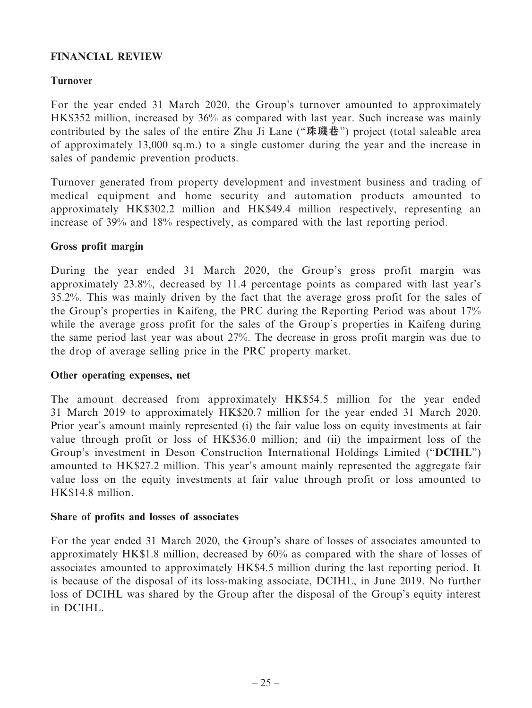## **FINANCIAL REVIEW**

## **Turnover**

For the year ended 31 March 2020, the Group's turnover amounted to approximately HK\$352 million, increased by 36% as compared with last year. Such increase was mainly contributed by the sales of the entire Zhu Ji Lane ("**珠璣巷**") project (total saleable area of approximately 13,000 sq.m.) to a single customer during the year and the increase in sales of pandemic prevention products.

Turnover generated from property development and investment business and trading of medical equipment and home security and automation products amounted to approximately HK\$302.2 million and HK\$49.4 million respectively, representing an increase of 39% and 18% respectively, as compared with the last reporting period.

## **Gross profit margin**

During the year ended 31 March 2020, the Group's gross profit margin was approximately 23.8%, decreased by 11.4 percentage points as compared with last year's 35.2%. This was mainly driven by the fact that the average gross profit for the sales of the Group's properties in Kaifeng, the PRC during the Reporting Period was about 17% while the average gross profit for the sales of the Group's properties in Kaifeng during the same period last year was about 27%. The decrease in gross profit margin was due to the drop of average selling price in the PRC property market.

## **Other operating expenses, net**

The amount decreased from approximately HK\$54.5 million for the year ended 31 March 2019 to approximately HK\$20.7 million for the year ended 31 March 2020. Prior year's amount mainly represented (i) the fair value loss on equity investments at fair value through profit or loss of HK\$36.0 million; and (ii) the impairment loss of the Group's investment in Deson Construction International Holdings Limited ("**DCIHL**") amounted to HK\$27.2 million. This year's amount mainly represented the aggregate fair value loss on the equity investments at fair value through profit or loss amounted to HK\$14.8 million.

## **Share of profits and losses of associates**

For the year ended 31 March 2020, the Group's share of losses of associates amounted to approximately HK\$1.8 million, decreased by 60% as compared with the share of losses of associates amounted to approximately HK\$4.5 million during the last reporting period. It is because of the disposal of its loss-making associate, DCIHL, in June 2019. No further loss of DCIHL was shared by the Group after the disposal of the Group's equity interest in DCIHL.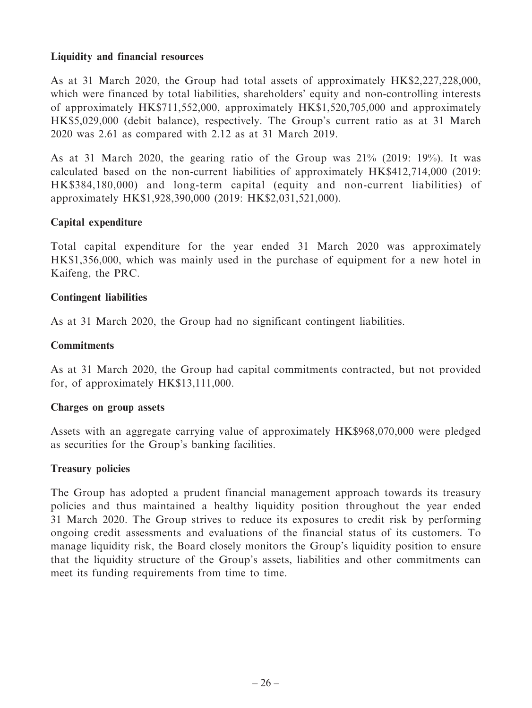## **Liquidity and financial resources**

As at 31 March 2020, the Group had total assets of approximately HK\$2,227,228,000, which were financed by total liabilities, shareholders' equity and non-controlling interests of approximately HK\$711,552,000, approximately HK\$1,520,705,000 and approximately HK\$5,029,000 (debit balance), respectively. The Group's current ratio as at 31 March 2020 was 2.61 as compared with 2.12 as at 31 March 2019.

As at 31 March 2020, the gearing ratio of the Group was 21% (2019: 19%). It was calculated based on the non-current liabilities of approximately HK\$412,714,000 (2019: HK\$384,180,000) and long-term capital (equity and non-current liabilities) of approximately HK\$1,928,390,000 (2019: HK\$2,031,521,000).

## **Capital expenditure**

Total capital expenditure for the year ended 31 March 2020 was approximately HK\$1,356,000, which was mainly used in the purchase of equipment for a new hotel in Kaifeng, the PRC.

#### **Contingent liabilities**

As at 31 March 2020, the Group had no significant contingent liabilities.

#### **Commitments**

As at 31 March 2020, the Group had capital commitments contracted, but not provided for, of approximately HK\$13,111,000.

#### **Charges on group assets**

Assets with an aggregate carrying value of approximately HK\$968,070,000 were pledged as securities for the Group's banking facilities.

#### **Treasury policies**

The Group has adopted a prudent financial management approach towards its treasury policies and thus maintained a healthy liquidity position throughout the year ended 31 March 2020. The Group strives to reduce its exposures to credit risk by performing ongoing credit assessments and evaluations of the financial status of its customers. To manage liquidity risk, the Board closely monitors the Group's liquidity position to ensure that the liquidity structure of the Group's assets, liabilities and other commitments can meet its funding requirements from time to time.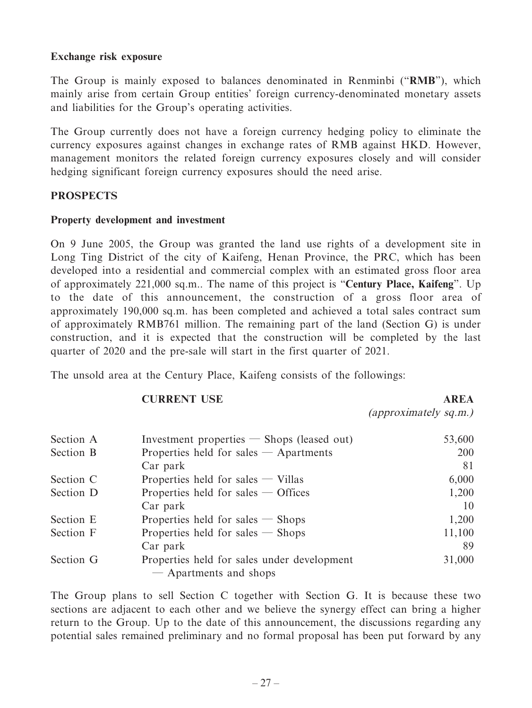#### **Exchange risk exposure**

The Group is mainly exposed to balances denominated in Renminbi ("**RMB**"), which mainly arise from certain Group entities' foreign currency-denominated monetary assets and liabilities for the Group's operating activities.

The Group currently does not have a foreign currency hedging policy to eliminate the currency exposures against changes in exchange rates of RMB against HKD. However, management monitors the related foreign currency exposures closely and will consider hedging significant foreign currency exposures should the need arise.

## **PROSPECTS**

#### **Property development and investment**

On 9 June 2005, the Group was granted the land use rights of a development site in Long Ting District of the city of Kaifeng, Henan Province, the PRC, which has been developed into a residential and commercial complex with an estimated gross floor area of approximately 221,000 sq.m.. The name of this project is "**Century Place, Kaifeng**". Up to the date of this announcement, the construction of a gross floor area of approximately 190,000 sq.m. has been completed and achieved a total sales contract sum of approximately RMB761 million. The remaining part of the land (Section G) is under construction, and it is expected that the construction will be completed by the last quarter of 2020 and the pre-sale will start in the first quarter of 2021.

The unsold area at the Century Place, Kaifeng consists of the followings:

## **CURRENT USE AREA**

(approximately sq.m.)

| Section A | Investment properties $-$ Shops (leased out)                          | 53,600 |
|-----------|-----------------------------------------------------------------------|--------|
| Section B | Properties held for sales $-$ Apartments                              | 200    |
|           | Car park                                                              | 81     |
| Section C | Properties held for sales $-$ Villas                                  | 6,000  |
| Section D | Properties held for sales $-$ Offices                                 | 1,200  |
|           | Car park                                                              | 10     |
| Section E | Properties held for sales $-$ Shops                                   | 1,200  |
| Section F | Properties held for sales $-$ Shops                                   | 11,100 |
|           | Car park                                                              | 89     |
| Section G | Properties held for sales under development<br>- Apartments and shops | 31,000 |

The Group plans to sell Section C together with Section G. It is because these two sections are adjacent to each other and we believe the synergy effect can bring a higher return to the Group. Up to the date of this announcement, the discussions regarding any potential sales remained preliminary and no formal proposal has been put forward by any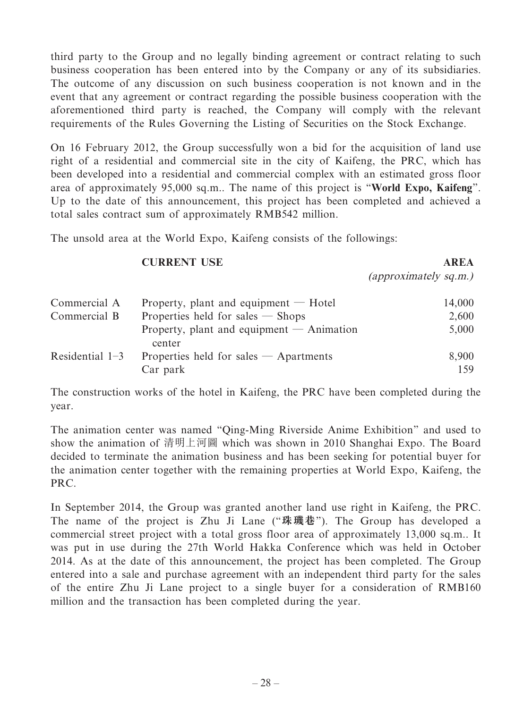third party to the Group and no legally binding agreement or contract relating to such business cooperation has been entered into by the Company or any of its subsidiaries. The outcome of any discussion on such business cooperation is not known and in the event that any agreement or contract regarding the possible business cooperation with the aforementioned third party is reached, the Company will comply with the relevant requirements of the Rules Governing the Listing of Securities on the Stock Exchange.

On 16 February 2012, the Group successfully won a bid for the acquisition of land use right of a residential and commercial site in the city of Kaifeng, the PRC, which has been developed into a residential and commercial complex with an estimated gross floor area of approximately 95,000 sq.m.. The name of this project is "**World Expo, Kaifeng**". Up to the date of this announcement, this project has been completed and achieved a total sales contract sum of approximately RMB542 million.

The unsold area at the World Expo, Kaifeng consists of the followings:

#### **CURRENT USE AREA**

(approximately sq.m.)

| Commercial A      | Property, plant and equipment $-$ Hotel               | 14,000 |
|-------------------|-------------------------------------------------------|--------|
| Commercial B      | Properties held for sales $-$ Shops                   | 2,600  |
|                   | Property, plant and equipment $-$ Animation<br>center | 5,000  |
| Residential $1-3$ | Properties held for sales $-$ Apartments              | 8,900  |
|                   | Car park                                              | 159    |

The construction works of the hotel in Kaifeng, the PRC have been completed during the year.

The animation center was named "Qing-Ming Riverside Anime Exhibition" and used to show the animation of 清明上河圖 which was shown in 2010 Shanghai Expo. The Board decided to terminate the animation business and has been seeking for potential buyer for the animation center together with the remaining properties at World Expo, Kaifeng, the PRC.

In September 2014, the Group was granted another land use right in Kaifeng, the PRC. The name of the project is Zhu Ji Lane ("**珠璣巷**"). The Group has developed a commercial street project with a total gross floor area of approximately 13,000 sq.m.. It was put in use during the 27th World Hakka Conference which was held in October 2014. As at the date of this announcement, the project has been completed. The Group entered into a sale and purchase agreement with an independent third party for the sales of the entire Zhu Ji Lane project to a single buyer for a consideration of RMB160 million and the transaction has been completed during the year.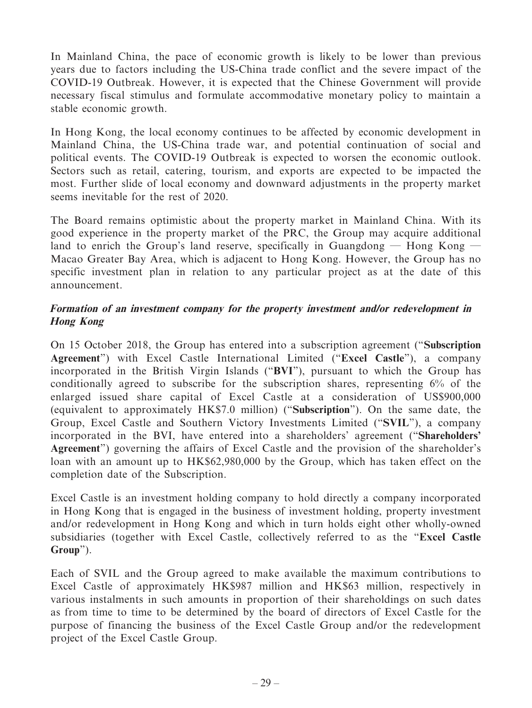In Mainland China, the pace of economic growth is likely to be lower than previous years due to factors including the US-China trade conflict and the severe impact of the COVID-19 Outbreak. However, it is expected that the Chinese Government will provide necessary fiscal stimulus and formulate accommodative monetary policy to maintain a stable economic growth.

In Hong Kong, the local economy continues to be affected by economic development in Mainland China, the US-China trade war, and potential continuation of social and political events. The COVID-19 Outbreak is expected to worsen the economic outlook. Sectors such as retail, catering, tourism, and exports are expected to be impacted the most. Further slide of local economy and downward adjustments in the property market seems inevitable for the rest of 2020.

The Board remains optimistic about the property market in Mainland China. With its good experience in the property market of the PRC, the Group may acquire additional land to enrich the Group's land reserve, specifically in Guangdong  $-$  Hong Kong  $-$ Macao Greater Bay Area, which is adjacent to Hong Kong. However, the Group has no specific investment plan in relation to any particular project as at the date of this announcement.

## **Formation of an investment company for the property investment and/or redevelopment in Hong Kong**

On 15 October 2018, the Group has entered into a subscription agreement ("**Subscription Agreement**") with Excel Castle International Limited ("**Excel Castle**"), a company incorporated in the British Virgin Islands ("**BVI**"), pursuant to which the Group has conditionally agreed to subscribe for the subscription shares, representing 6% of the enlarged issued share capital of Excel Castle at a consideration of US\$900,000 (equivalent to approximately HK\$7.0 million) ("**Subscription**"). On the same date, the Group, Excel Castle and Southern Victory Investments Limited ("**SVIL**"), a company incorporated in the BVI, have entered into a shareholders' agreement ("**Shareholders' Agreement**") governing the affairs of Excel Castle and the provision of the shareholder's loan with an amount up to HK\$62,980,000 by the Group, which has taken effect on the completion date of the Subscription.

Excel Castle is an investment holding company to hold directly a company incorporated in Hong Kong that is engaged in the business of investment holding, property investment and/or redevelopment in Hong Kong and which in turn holds eight other wholly-owned subsidiaries (together with Excel Castle, collectively referred to as the "**Excel Castle Group**").

Each of SVIL and the Group agreed to make available the maximum contributions to Excel Castle of approximately HK\$987 million and HK\$63 million, respectively in various instalments in such amounts in proportion of their shareholdings on such dates as from time to time to be determined by the board of directors of Excel Castle for the purpose of financing the business of the Excel Castle Group and/or the redevelopment project of the Excel Castle Group.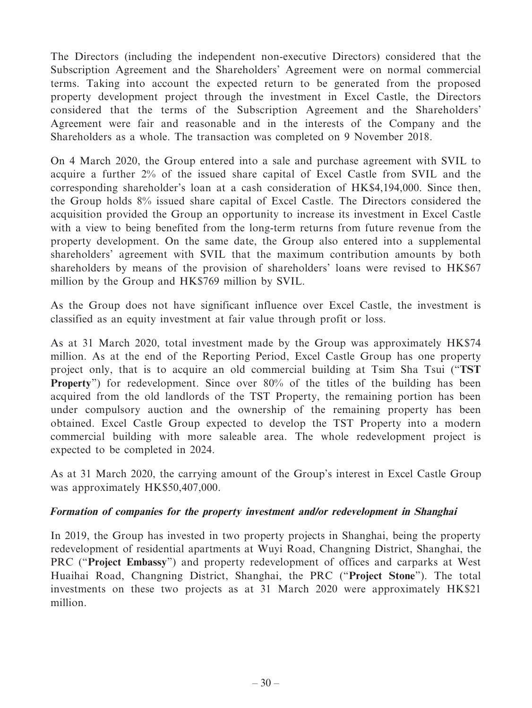The Directors (including the independent non-executive Directors) considered that the Subscription Agreement and the Shareholders' Agreement were on normal commercial terms. Taking into account the expected return to be generated from the proposed property development project through the investment in Excel Castle, the Directors considered that the terms of the Subscription Agreement and the Shareholders' Agreement were fair and reasonable and in the interests of the Company and the Shareholders as a whole. The transaction was completed on 9 November 2018.

On 4 March 2020, the Group entered into a sale and purchase agreement with SVIL to acquire a further 2% of the issued share capital of Excel Castle from SVIL and the corresponding shareholder's loan at a cash consideration of HK\$4,194,000. Since then, the Group holds 8% issued share capital of Excel Castle. The Directors considered the acquisition provided the Group an opportunity to increase its investment in Excel Castle with a view to being benefited from the long-term returns from future revenue from the property development. On the same date, the Group also entered into a supplemental shareholders' agreement with SVIL that the maximum contribution amounts by both shareholders by means of the provision of shareholders' loans were revised to HK\$67 million by the Group and HK\$769 million by SVIL.

As the Group does not have significant influence over Excel Castle, the investment is classified as an equity investment at fair value through profit or loss.

As at 31 March 2020, total investment made by the Group was approximately HK\$74 million. As at the end of the Reporting Period, Excel Castle Group has one property project only, that is to acquire an old commercial building at Tsim Sha Tsui ("**TST Property**") for redevelopment. Since over 80% of the titles of the building has been acquired from the old landlords of the TST Property, the remaining portion has been under compulsory auction and the ownership of the remaining property has been obtained. Excel Castle Group expected to develop the TST Property into a modern commercial building with more saleable area. The whole redevelopment project is expected to be completed in 2024.

As at 31 March 2020, the carrying amount of the Group's interest in Excel Castle Group was approximately HK\$50,407,000.

## **Formation of companies for the property investment and/or redevelopment in Shanghai**

In 2019, the Group has invested in two property projects in Shanghai, being the property redevelopment of residential apartments at Wuyi Road, Changning District, Shanghai, the PRC ("**Project Embassy**") and property redevelopment of offices and carparks at West Huaihai Road, Changning District, Shanghai, the PRC ("**Project Stone**"). The total investments on these two projects as at 31 March 2020 were approximately HK\$21 million.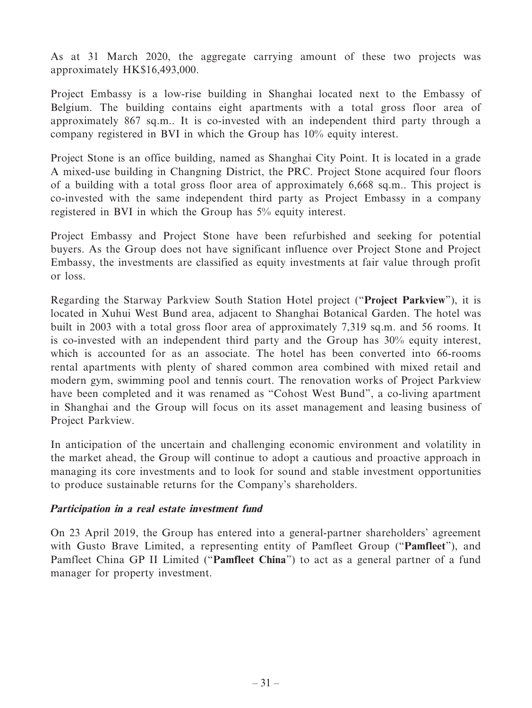As at 31 March 2020, the aggregate carrying amount of these two projects was approximately HK\$16,493,000.

Project Embassy is a low-rise building in Shanghai located next to the Embassy of Belgium. The building contains eight apartments with a total gross floor area of approximately 867 sq.m.. It is co-invested with an independent third party through a company registered in BVI in which the Group has 10% equity interest.

Project Stone is an office building, named as Shanghai City Point. It is located in a grade A mixed-use building in Changning District, the PRC. Project Stone acquired four floors of a building with a total gross floor area of approximately 6,668 sq.m.. This project is co-invested with the same independent third party as Project Embassy in a company registered in BVI in which the Group has 5% equity interest.

Project Embassy and Project Stone have been refurbished and seeking for potential buyers. As the Group does not have significant influence over Project Stone and Project Embassy, the investments are classified as equity investments at fair value through profit or loss.

Regarding the Starway Parkview South Station Hotel project ("**Project Parkview**"), it is located in Xuhui West Bund area, adjacent to Shanghai Botanical Garden. The hotel was built in 2003 with a total gross floor area of approximately 7,319 sq.m. and 56 rooms. It is co-invested with an independent third party and the Group has 30% equity interest, which is accounted for as an associate. The hotel has been converted into 66-rooms rental apartments with plenty of shared common area combined with mixed retail and modern gym, swimming pool and tennis court. The renovation works of Project Parkview have been completed and it was renamed as "Cohost West Bund", a co-living apartment in Shanghai and the Group will focus on its asset management and leasing business of Project Parkview.

In anticipation of the uncertain and challenging economic environment and volatility in the market ahead, the Group will continue to adopt a cautious and proactive approach in managing its core investments and to look for sound and stable investment opportunities to produce sustainable returns for the Company's shareholders.

## **Participation in a real estate investment fund**

On 23 April 2019, the Group has entered into a general-partner shareholders' agreement with Gusto Brave Limited, a representing entity of Pamfleet Group ("**Pamfleet**"), and Pamfleet China GP II Limited ("**Pamfleet China**") to act as a general partner of a fund manager for property investment.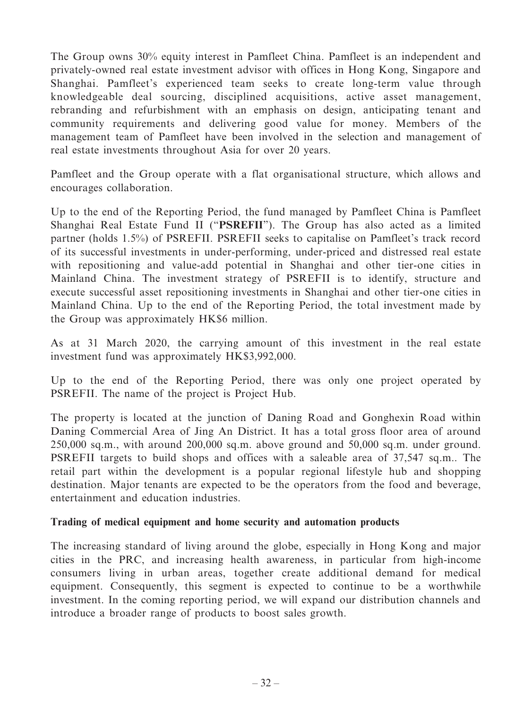The Group owns 30% equity interest in Pamfleet China. Pamfleet is an independent and privately-owned real estate investment advisor with offices in Hong Kong, Singapore and Shanghai. Pamfleet's experienced team seeks to create long-term value through knowledgeable deal sourcing, disciplined acquisitions, active asset management, rebranding and refurbishment with an emphasis on design, anticipating tenant and community requirements and delivering good value for money. Members of the management team of Pamfleet have been involved in the selection and management of real estate investments throughout Asia for over 20 years.

Pamfleet and the Group operate with a flat organisational structure, which allows and encourages collaboration.

Up to the end of the Reporting Period, the fund managed by Pamfleet China is Pamfleet Shanghai Real Estate Fund II ("**PSREFII**"). The Group has also acted as a limited partner (holds 1.5%) of PSREFII. PSREFII seeks to capitalise on Pamfleet's track record of its successful investments in under-performing, under-priced and distressed real estate with repositioning and value-add potential in Shanghai and other tier-one cities in Mainland China. The investment strategy of PSREFII is to identify, structure and execute successful asset repositioning investments in Shanghai and other tier-one cities in Mainland China. Up to the end of the Reporting Period, the total investment made by the Group was approximately HK\$6 million.

As at 31 March 2020, the carrying amount of this investment in the real estate investment fund was approximately HK\$3,992,000.

Up to the end of the Reporting Period, there was only one project operated by PSREFII. The name of the project is Project Hub.

The property is located at the junction of Daning Road and Gonghexin Road within Daning Commercial Area of Jing An District. It has a total gross floor area of around 250,000 sq.m., with around 200,000 sq.m. above ground and 50,000 sq.m. under ground. PSREFII targets to build shops and offices with a saleable area of 37,547 sq.m.. The retail part within the development is a popular regional lifestyle hub and shopping destination. Major tenants are expected to be the operators from the food and beverage, entertainment and education industries.

## **Trading of medical equipment and home security and automation products**

The increasing standard of living around the globe, especially in Hong Kong and major cities in the PRC, and increasing health awareness, in particular from high-income consumers living in urban areas, together create additional demand for medical equipment. Consequently, this segment is expected to continue to be a worthwhile investment. In the coming reporting period, we will expand our distribution channels and introduce a broader range of products to boost sales growth.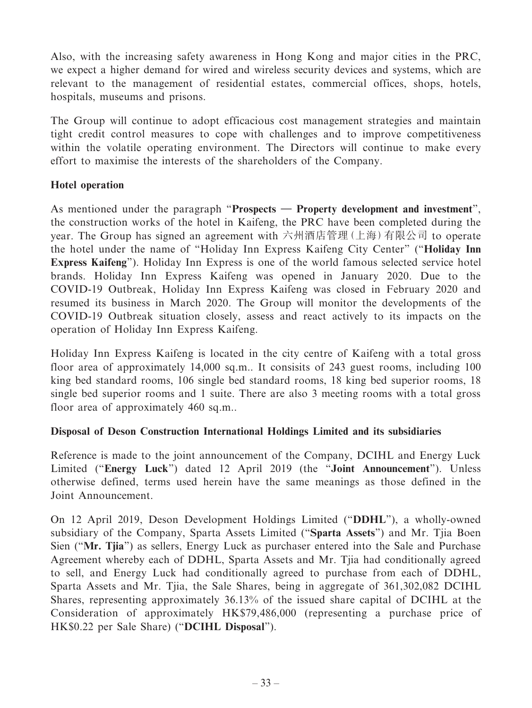Also, with the increasing safety awareness in Hong Kong and major cities in the PRC, we expect a higher demand for wired and wireless security devices and systems, which are relevant to the management of residential estates, commercial offices, shops, hotels, hospitals, museums and prisons.

The Group will continue to adopt efficacious cost management strategies and maintain tight credit control measures to cope with challenges and to improve competitiveness within the volatile operating environment. The Directors will continue to make every effort to maximise the interests of the shareholders of the Company.

## **Hotel operation**

As mentioned under the paragraph "**Prospects — Property development and investment**", the construction works of the hotel in Kaifeng, the PRC have been completed during the year. The Group has signed an agreement with 六州酒店管理(上海)有限公司 to operate the hotel under the name of "Holiday Inn Express Kaifeng City Center" ("**Holiday Inn Express Kaifeng**"). Holiday Inn Express is one of the world famous selected service hotel brands. Holiday Inn Express Kaifeng was opened in January 2020. Due to the COVID-19 Outbreak, Holiday Inn Express Kaifeng was closed in February 2020 and resumed its business in March 2020. The Group will monitor the developments of the COVID-19 Outbreak situation closely, assess and react actively to its impacts on the operation of Holiday Inn Express Kaifeng.

Holiday Inn Express Kaifeng is located in the city centre of Kaifeng with a total gross floor area of approximately 14,000 sq.m.. It consisits of 243 guest rooms, including 100 king bed standard rooms, 106 single bed standard rooms, 18 king bed superior rooms, 18 single bed superior rooms and 1 suite. There are also 3 meeting rooms with a total gross floor area of approximately 460 sq.m..

## **Disposal of Deson Construction International Holdings Limited and its subsidiaries**

Reference is made to the joint announcement of the Company, DCIHL and Energy Luck Limited ("**Energy Luck**") dated 12 April 2019 (the "**Joint Announcement**"). Unless otherwise defined, terms used herein have the same meanings as those defined in the Joint Announcement.

On 12 April 2019, Deson Development Holdings Limited ("**DDHL**"), a wholly-owned subsidiary of the Company, Sparta Assets Limited ("**Sparta Assets**") and Mr. Tjia Boen Sien ("**Mr. Tjia**") as sellers, Energy Luck as purchaser entered into the Sale and Purchase Agreement whereby each of DDHL, Sparta Assets and Mr. Tjia had conditionally agreed to sell, and Energy Luck had conditionally agreed to purchase from each of DDHL, Sparta Assets and Mr. Tjia, the Sale Shares, being in aggregate of 361,302,082 DCIHL Shares, representing approximately 36.13% of the issued share capital of DCIHL at the Consideration of approximately HK\$79,486,000 (representing a purchase price of HK\$0.22 per Sale Share) ("**DCIHL Disposal**").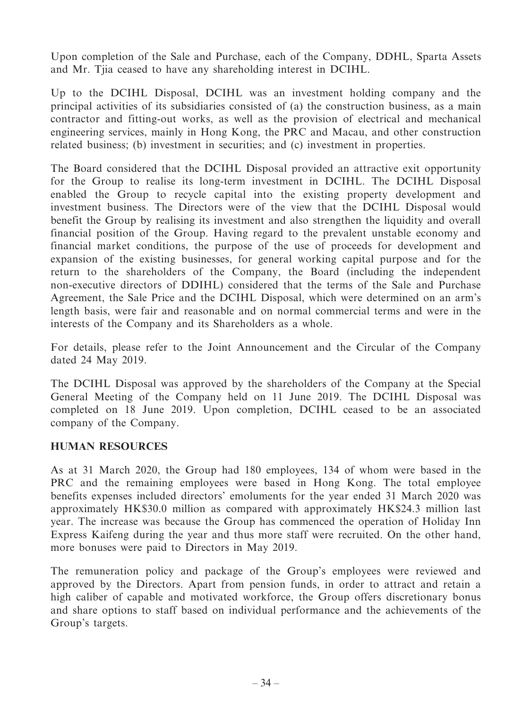Upon completion of the Sale and Purchase, each of the Company, DDHL, Sparta Assets and Mr. Tjia ceased to have any shareholding interest in DCIHL.

Up to the DCIHL Disposal, DCIHL was an investment holding company and the principal activities of its subsidiaries consisted of (a) the construction business, as a main contractor and fitting-out works, as well as the provision of electrical and mechanical engineering services, mainly in Hong Kong, the PRC and Macau, and other construction related business; (b) investment in securities; and (c) investment in properties.

The Board considered that the DCIHL Disposal provided an attractive exit opportunity for the Group to realise its long-term investment in DCIHL. The DCIHL Disposal enabled the Group to recycle capital into the existing property development and investment business. The Directors were of the view that the DCIHL Disposal would benefit the Group by realising its investment and also strengthen the liquidity and overall financial position of the Group. Having regard to the prevalent unstable economy and financial market conditions, the purpose of the use of proceeds for development and expansion of the existing businesses, for general working capital purpose and for the return to the shareholders of the Company, the Board (including the independent non-executive directors of DDIHL) considered that the terms of the Sale and Purchase Agreement, the Sale Price and the DCIHL Disposal, which were determined on an arm's length basis, were fair and reasonable and on normal commercial terms and were in the interests of the Company and its Shareholders as a whole.

For details, please refer to the Joint Announcement and the Circular of the Company dated 24 May 2019.

The DCIHL Disposal was approved by the shareholders of the Company at the Special General Meeting of the Company held on 11 June 2019. The DCIHL Disposal was completed on 18 June 2019. Upon completion, DCIHL ceased to be an associated company of the Company.

## **HUMAN RESOURCES**

As at 31 March 2020, the Group had 180 employees, 134 of whom were based in the PRC and the remaining employees were based in Hong Kong. The total employee benefits expenses included directors' emoluments for the year ended 31 March 2020 was approximately HK\$30.0 million as compared with approximately HK\$24.3 million last year. The increase was because the Group has commenced the operation of Holiday Inn Express Kaifeng during the year and thus more staff were recruited. On the other hand, more bonuses were paid to Directors in May 2019.

The remuneration policy and package of the Group's employees were reviewed and approved by the Directors. Apart from pension funds, in order to attract and retain a high caliber of capable and motivated workforce, the Group offers discretionary bonus and share options to staff based on individual performance and the achievements of the Group's targets.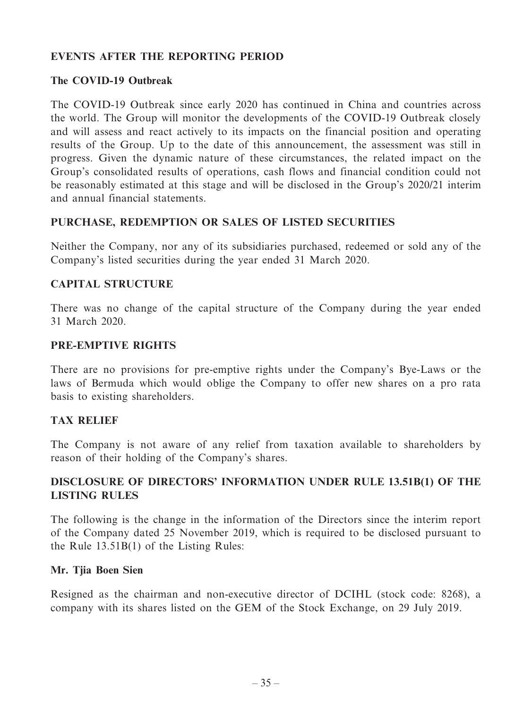## **EVENTS AFTER THE REPORTING PERIOD**

## **The COVID-19 Outbreak**

The COVID-19 Outbreak since early 2020 has continued in China and countries across the world. The Group will monitor the developments of the COVID-19 Outbreak closely and will assess and react actively to its impacts on the financial position and operating results of the Group. Up to the date of this announcement, the assessment was still in progress. Given the dynamic nature of these circumstances, the related impact on the Group's consolidated results of operations, cash flows and financial condition could not be reasonably estimated at this stage and will be disclosed in the Group's 2020/21 interim and annual financial statements.

## **PURCHASE, REDEMPTION OR SALES OF LISTED SECURITIES**

Neither the Company, nor any of its subsidiaries purchased, redeemed or sold any of the Company's listed securities during the year ended 31 March 2020.

## **CAPITAL STRUCTURE**

There was no change of the capital structure of the Company during the year ended 31 March 2020.

## **PRE-EMPTIVE RIGHTS**

There are no provisions for pre-emptive rights under the Company's Bye-Laws or the laws of Bermuda which would oblige the Company to offer new shares on a pro rata basis to existing shareholders.

## **TAX RELIEF**

The Company is not aware of any relief from taxation available to shareholders by reason of their holding of the Company's shares.

## **DISCLOSURE OF DIRECTORS' INFORMATION UNDER RULE 13.51B(1) OF THE LISTING RULES**

The following is the change in the information of the Directors since the interim report of the Company dated 25 November 2019, which is required to be disclosed pursuant to the Rule 13.51B(1) of the Listing Rules:

## **Mr. Tjia Boen Sien**

Resigned as the chairman and non-executive director of DCIHL (stock code: 8268), a company with its shares listed on the GEM of the Stock Exchange, on 29 July 2019.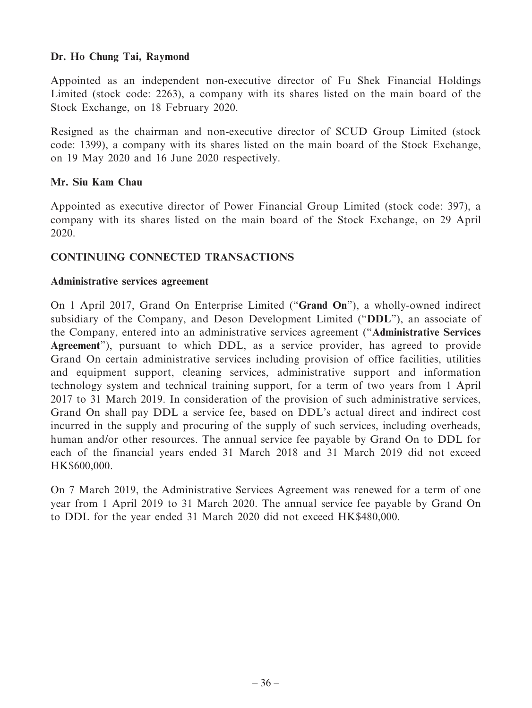## **Dr. Ho Chung Tai, Raymond**

Appointed as an independent non-executive director of Fu Shek Financial Holdings Limited (stock code: 2263), a company with its shares listed on the main board of the Stock Exchange, on 18 February 2020.

Resigned as the chairman and non-executive director of SCUD Group Limited (stock code: 1399), a company with its shares listed on the main board of the Stock Exchange, on 19 May 2020 and 16 June 2020 respectively.

## **Mr. Siu Kam Chau**

Appointed as executive director of Power Financial Group Limited (stock code: 397), a company with its shares listed on the main board of the Stock Exchange, on 29 April 2020.

## **CONTINUING CONNECTED TRANSACTIONS**

#### **Administrative services agreement**

On 1 April 2017, Grand On Enterprise Limited ("**Grand On**"), a wholly-owned indirect subsidiary of the Company, and Deson Development Limited ("**DDL**"), an associate of the Company, entered into an administrative services agreement ("**Administrative Services Agreement**"), pursuant to which DDL, as a service provider, has agreed to provide Grand On certain administrative services including provision of office facilities, utilities and equipment support, cleaning services, administrative support and information technology system and technical training support, for a term of two years from 1 April 2017 to 31 March 2019. In consideration of the provision of such administrative services, Grand On shall pay DDL a service fee, based on DDL's actual direct and indirect cost incurred in the supply and procuring of the supply of such services, including overheads, human and/or other resources. The annual service fee payable by Grand On to DDL for each of the financial years ended 31 March 2018 and 31 March 2019 did not exceed HK\$600,000.

On 7 March 2019, the Administrative Services Agreement was renewed for a term of one year from 1 April 2019 to 31 March 2020. The annual service fee payable by Grand On to DDL for the year ended 31 March 2020 did not exceed HK\$480,000.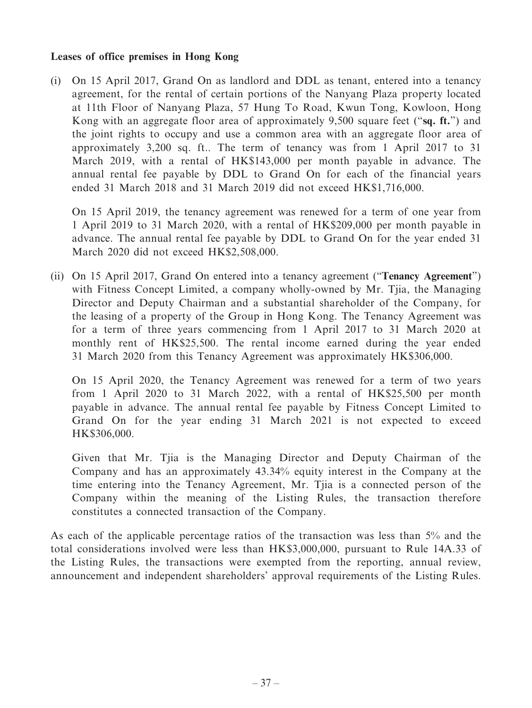#### **Leases of office premises in Hong Kong**

(i) On 15 April 2017, Grand On as landlord and DDL as tenant, entered into a tenancy agreement, for the rental of certain portions of the Nanyang Plaza property located at 11th Floor of Nanyang Plaza, 57 Hung To Road, Kwun Tong, Kowloon, Hong Kong with an aggregate floor area of approximately 9,500 square feet ("**sq. ft.**") and the joint rights to occupy and use a common area with an aggregate floor area of approximately 3,200 sq. ft.. The term of tenancy was from 1 April 2017 to 31 March 2019, with a rental of HK\$143,000 per month payable in advance. The annual rental fee payable by DDL to Grand On for each of the financial years ended 31 March 2018 and 31 March 2019 did not exceed HK\$1,716,000.

On 15 April 2019, the tenancy agreement was renewed for a term of one year from 1 April 2019 to 31 March 2020, with a rental of HK\$209,000 per month payable in advance. The annual rental fee payable by DDL to Grand On for the year ended 31 March 2020 did not exceed HK\$2,508,000.

(ii) On 15 April 2017, Grand On entered into a tenancy agreement ("**Tenancy Agreement**") with Fitness Concept Limited, a company wholly-owned by Mr. Tija, the Managing Director and Deputy Chairman and a substantial shareholder of the Company, for the leasing of a property of the Group in Hong Kong. The Tenancy Agreement was for a term of three years commencing from 1 April 2017 to 31 March 2020 at monthly rent of HK\$25,500. The rental income earned during the year ended 31 March 2020 from this Tenancy Agreement was approximately HK\$306,000.

On 15 April 2020, the Tenancy Agreement was renewed for a term of two years from 1 April 2020 to 31 March 2022, with a rental of HK\$25,500 per month payable in advance. The annual rental fee payable by Fitness Concept Limited to Grand On for the year ending 31 March 2021 is not expected to exceed HK\$306,000.

Given that Mr. Tjia is the Managing Director and Deputy Chairman of the Company and has an approximately 43.34% equity interest in the Company at the time entering into the Tenancy Agreement, Mr. Tjia is a connected person of the Company within the meaning of the Listing Rules, the transaction therefore constitutes a connected transaction of the Company.

As each of the applicable percentage ratios of the transaction was less than 5% and the total considerations involved were less than HK\$3,000,000, pursuant to Rule 14A.33 of the Listing Rules, the transactions were exempted from the reporting, annual review, announcement and independent shareholders' approval requirements of the Listing Rules.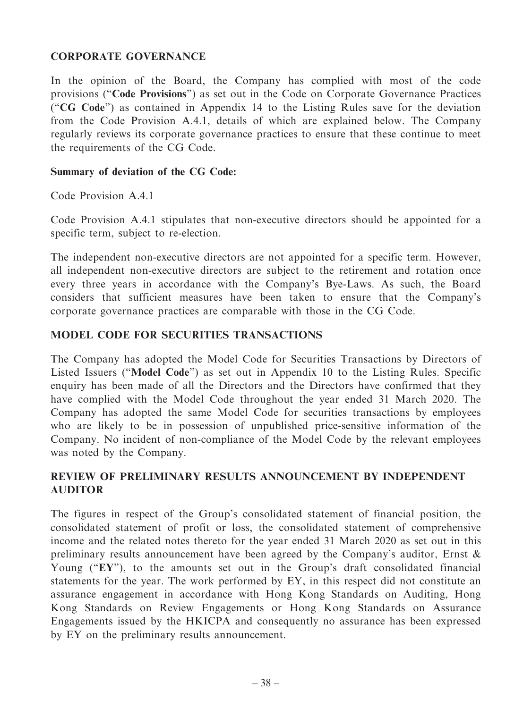## **CORPORATE GOVERNANCE**

In the opinion of the Board, the Company has complied with most of the code provisions ("**Code Provisions**") as set out in the Code on Corporate Governance Practices ("**CG Code**") as contained in Appendix 14 to the Listing Rules save for the deviation from the Code Provision A.4.1, details of which are explained below. The Company regularly reviews its corporate governance practices to ensure that these continue to meet the requirements of the CG Code.

## **Summary of deviation of the CG Code:**

Code Provision A.4.1

Code Provision A.4.1 stipulates that non-executive directors should be appointed for a specific term, subject to re-election.

The independent non-executive directors are not appointed for a specific term. However, all independent non-executive directors are subject to the retirement and rotation once every three years in accordance with the Company's Bye-Laws. As such, the Board considers that sufficient measures have been taken to ensure that the Company's corporate governance practices are comparable with those in the CG Code.

## **MODEL CODE FOR SECURITIES TRANSACTIONS**

The Company has adopted the Model Code for Securities Transactions by Directors of Listed Issuers ("**Model Code**") as set out in Appendix 10 to the Listing Rules. Specific enquiry has been made of all the Directors and the Directors have confirmed that they have complied with the Model Code throughout the year ended 31 March 2020. The Company has adopted the same Model Code for securities transactions by employees who are likely to be in possession of unpublished price-sensitive information of the Company. No incident of non-compliance of the Model Code by the relevant employees was noted by the Company.

## **REVIEW OF PRELIMINARY RESULTS ANNOUNCEMENT BY INDEPENDENT AUDITOR**

The figures in respect of the Group's consolidated statement of financial position, the consolidated statement of profit or loss, the consolidated statement of comprehensive income and the related notes thereto for the year ended 31 March 2020 as set out in this preliminary results announcement have been agreed by the Company's auditor, Ernst & Young ("**EY**"), to the amounts set out in the Group's draft consolidated financial statements for the year. The work performed by EY, in this respect did not constitute an assurance engagement in accordance with Hong Kong Standards on Auditing, Hong Kong Standards on Review Engagements or Hong Kong Standards on Assurance Engagements issued by the HKICPA and consequently no assurance has been expressed by EY on the preliminary results announcement.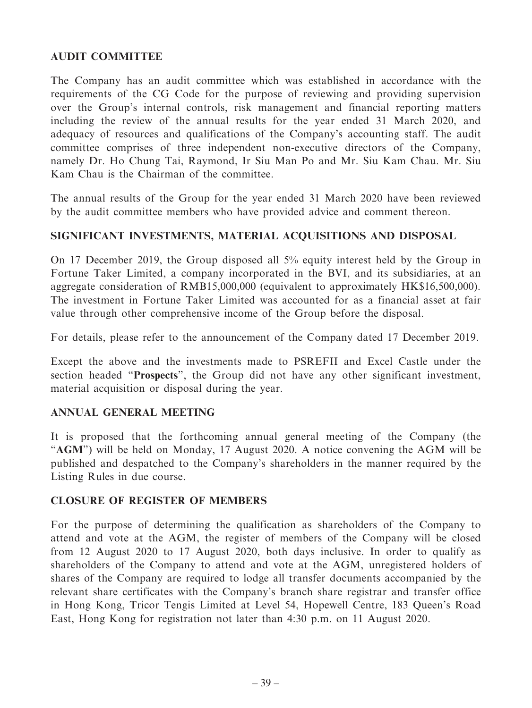## **AUDIT COMMITTEE**

The Company has an audit committee which was established in accordance with the requirements of the CG Code for the purpose of reviewing and providing supervision over the Group's internal controls, risk management and financial reporting matters including the review of the annual results for the year ended 31 March 2020, and adequacy of resources and qualifications of the Company's accounting staff. The audit committee comprises of three independent non-executive directors of the Company, namely Dr. Ho Chung Tai, Raymond, Ir Siu Man Po and Mr. Siu Kam Chau. Mr. Siu Kam Chau is the Chairman of the committee.

The annual results of the Group for the year ended 31 March 2020 have been reviewed by the audit committee members who have provided advice and comment thereon.

## **SIGNIFICANT INVESTMENTS, MATERIAL ACQUISITIONS AND DISPOSAL**

On 17 December 2019, the Group disposed all 5% equity interest held by the Group in Fortune Taker Limited, a company incorporated in the BVI, and its subsidiaries, at an aggregate consideration of RMB15,000,000 (equivalent to approximately HK\$16,500,000). The investment in Fortune Taker Limited was accounted for as a financial asset at fair value through other comprehensive income of the Group before the disposal.

For details, please refer to the announcement of the Company dated 17 December 2019.

Except the above and the investments made to PSREFII and Excel Castle under the section headed "**Prospects**", the Group did not have any other significant investment, material acquisition or disposal during the year.

## **ANNUAL GENERAL MEETING**

It is proposed that the forthcoming annual general meeting of the Company (the "**AGM**") will be held on Monday, 17 August 2020. A notice convening the AGM will be published and despatched to the Company's shareholders in the manner required by the Listing Rules in due course.

## **CLOSURE OF REGISTER OF MEMBERS**

For the purpose of determining the qualification as shareholders of the Company to attend and vote at the AGM, the register of members of the Company will be closed from 12 August 2020 to 17 August 2020, both days inclusive. In order to qualify as shareholders of the Company to attend and vote at the AGM, unregistered holders of shares of the Company are required to lodge all transfer documents accompanied by the relevant share certificates with the Company's branch share registrar and transfer office in Hong Kong, Tricor Tengis Limited at Level 54, Hopewell Centre, 183 Queen's Road East, Hong Kong for registration not later than 4:30 p.m. on 11 August 2020.